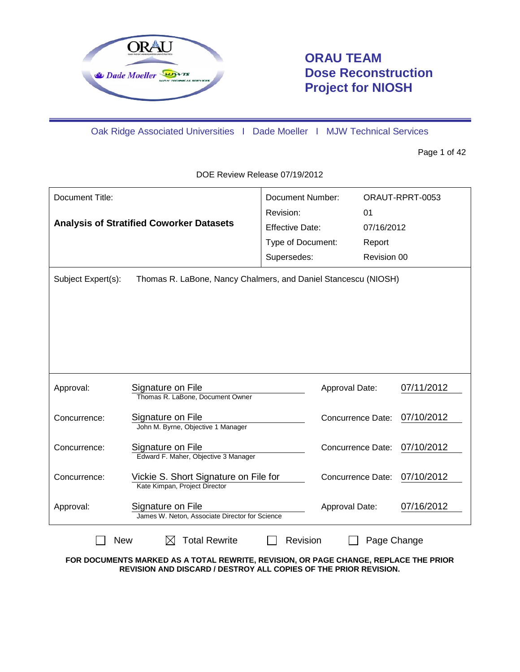

# **ORAU TEAM Dose Reconstruction Project for NIOSH**

Oak Ridge Associated Universities I Dade Moeller I MJW Technical Services

Page 1 of 42

Document Title: **Analysis of Stratified Coworker Datasets** Document Number: ORAUT-RPRT-0053 Revision: 01 Effective Date: 07/16/2012 Type of Document: Report Supersedes: Revision 00 Subject Expert(s): Thomas R. LaBone, Nancy Chalmers, and Daniel Stancescu (NIOSH) Approval: Signature on File Approval Date: 07/11/2012 Thomas R. LaBone, Document Owner Concurrence: Signature on File Concurrence Date: 07/10/2012 John M. Byrne, Objective 1 Manager Concurrence: Signature on File Concurrence Date: 07/10/2012 Edward F. Maher, Objective 3 Manager Concurrence: Vickie S. Short Signature on File for Concurrence Date: 07/10/2012 Kate Kimpan, Project Director Approval: Signature on File Approval Date: 07/16/2012 James W. Neton, Associate Director for Science New  $\boxtimes$  Total Rewrite  $\Box$  Revision  $\Box$  Page Change

DOE Review Release 07/19/2012

**FOR DOCUMENTS MARKED AS A TOTAL REWRITE, REVISION, OR PAGE CHANGE, REPLACE THE PRIOR REVISION AND DISCARD / DESTROY ALL COPIES OF THE PRIOR REVISION.**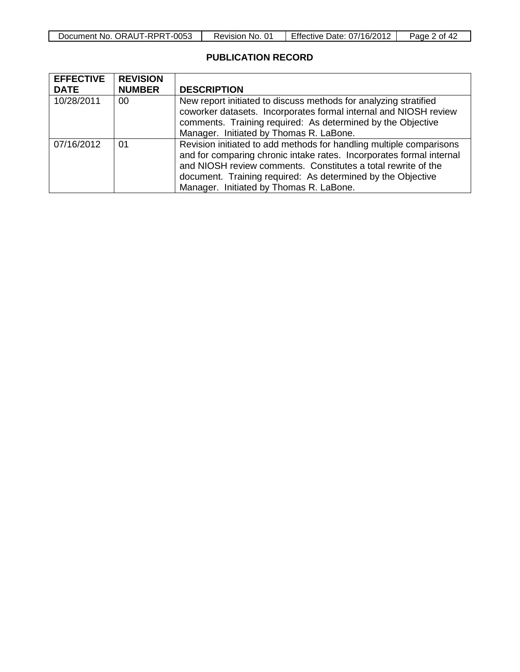| -0053<br>ORAUT-RPRT<br>Document No. | No.<br>Revision, | <b>Effective Date:</b><br>07/16/2012 | 42<br>οt<br>$\mathsf{a}$ ade $\mathsf{b}$ |
|-------------------------------------|------------------|--------------------------------------|-------------------------------------------|

## **PUBLICATION RECORD**

| <b>EFFECTIVE</b> | <b>REVISION</b> |                                                                                                                                                                                                                                                                                                                        |
|------------------|-----------------|------------------------------------------------------------------------------------------------------------------------------------------------------------------------------------------------------------------------------------------------------------------------------------------------------------------------|
| <b>DATE</b>      | <b>NUMBER</b>   | <b>DESCRIPTION</b>                                                                                                                                                                                                                                                                                                     |
| 10/28/2011       | 00              | New report initiated to discuss methods for analyzing stratified<br>coworker datasets. Incorporates formal internal and NIOSH review<br>comments. Training required: As determined by the Objective<br>Manager. Initiated by Thomas R. LaBone.                                                                         |
| 07/16/2012       | 01              | Revision initiated to add methods for handling multiple comparisons<br>and for comparing chronic intake rates. Incorporates formal internal<br>and NIOSH review comments. Constitutes a total rewrite of the<br>document. Training required: As determined by the Objective<br>Manager. Initiated by Thomas R. LaBone. |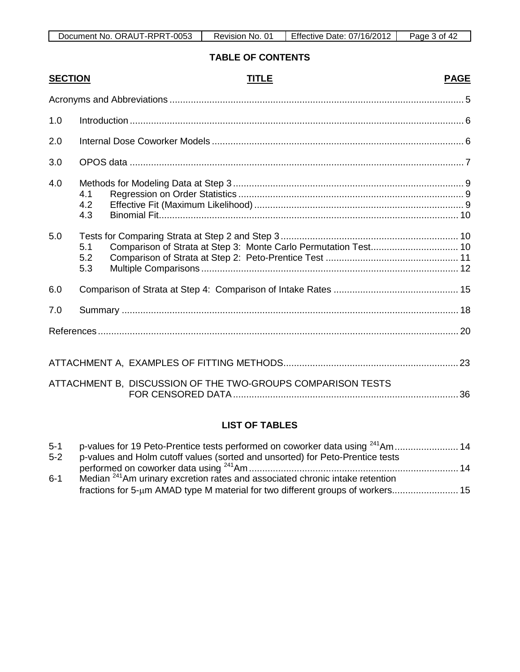| -0053<br>ORAUT-RPRT<br>Document No. | No.<br>Revision, | <b>Effective Date:</b><br>07/16/2012 | 0t<br>Page |
|-------------------------------------|------------------|--------------------------------------|------------|

### **TABLE OF CONTENTS**

| <b>SECTION</b> |                   | <b>TITLE</b>                                                    | <b>PAGE</b> |
|----------------|-------------------|-----------------------------------------------------------------|-------------|
|                |                   |                                                                 |             |
| 1.0            |                   |                                                                 |             |
| 2.0            |                   |                                                                 |             |
| 3.0            |                   |                                                                 |             |
| 4.0            | 4.1<br>4.2<br>4.3 |                                                                 |             |
| 5.0            | 5.1<br>5.2<br>5.3 | Comparison of Strata at Step 3: Monte Carlo Permutation Test 10 |             |
| 6.0            |                   |                                                                 |             |
| 7.0            |                   |                                                                 |             |
|                |                   |                                                                 |             |
|                |                   |                                                                 |             |
|                |                   | ATTACHMENT B, DISCUSSION OF THE TWO-GROUPS COMPARISON TESTS     |             |

# **LIST OF TABLES**

| $5 - 1$ |                                                                                          |  |
|---------|------------------------------------------------------------------------------------------|--|
| $5-2$   | p-values and Holm cutoff values (sorted and unsorted) for Peto-Prentice tests            |  |
|         |                                                                                          |  |
| $6 - 1$ | Median <sup>241</sup> Am urinary excretion rates and associated chronic intake retention |  |
|         |                                                                                          |  |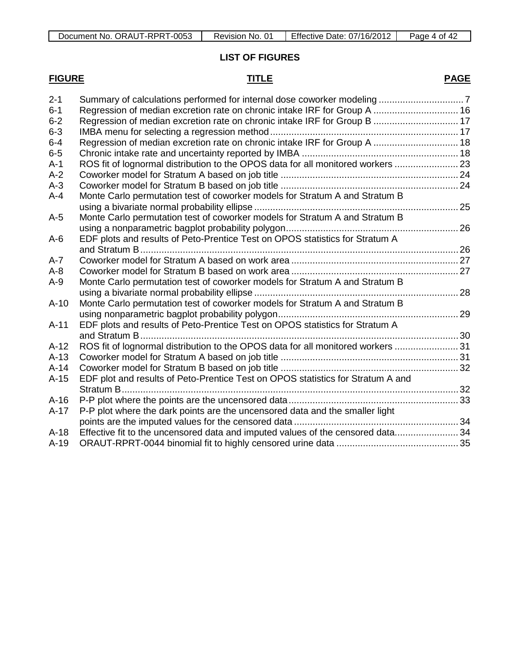| Document No. ORAUT-RPRT-0053 | Revision<br>No. | Effective Date: 07/16/2012 | Page<br>0t<br>$\Delta$ |
|------------------------------|-----------------|----------------------------|------------------------|

## **LIST OF FIGURES**

# **FIGURE TITLE PAGE**

| $2 - 1$ |                                                                                  |  |
|---------|----------------------------------------------------------------------------------|--|
| $6 - 1$ | Regression of median excretion rate on chronic intake IRF for Group A  16        |  |
| $6 - 2$ | Regression of median excretion rate on chronic intake IRF for Group B  17        |  |
| $6 - 3$ |                                                                                  |  |
| $6 - 4$ | Regression of median excretion rate on chronic intake IRF for Group A  18        |  |
| $6-5$   |                                                                                  |  |
| $A-1$   | ROS fit of lognormal distribution to the OPOS data for all monitored workers  23 |  |
| $A-2$   |                                                                                  |  |
| $A-3$   |                                                                                  |  |
| $A-4$   | Monte Carlo permutation test of coworker models for Stratum A and Stratum B      |  |
|         |                                                                                  |  |
| $A-5$   | Monte Carlo permutation test of coworker models for Stratum A and Stratum B      |  |
|         |                                                                                  |  |
| $A-6$   | EDF plots and results of Peto-Prentice Test on OPOS statistics for Stratum A     |  |
|         |                                                                                  |  |
| $A-7$   |                                                                                  |  |
| $A-8$   |                                                                                  |  |
| $A-9$   | Monte Carlo permutation test of coworker models for Stratum A and Stratum B      |  |
|         |                                                                                  |  |
| $A-10$  | Monte Carlo permutation test of coworker models for Stratum A and Stratum B      |  |
|         |                                                                                  |  |
| $A-11$  | EDF plots and results of Peto-Prentice Test on OPOS statistics for Stratum A     |  |
|         |                                                                                  |  |
| $A-12$  | ROS fit of lognormal distribution to the OPOS data for all monitored workers  31 |  |
| $A-13$  |                                                                                  |  |
| $A-14$  |                                                                                  |  |
| $A-15$  | EDF plot and results of Peto-Prentice Test on OPOS statistics for Stratum A and  |  |
|         |                                                                                  |  |
| $A-16$  |                                                                                  |  |
| $A-17$  | P-P plot where the dark points are the uncensored data and the smaller light     |  |
|         |                                                                                  |  |
| $A-18$  | Effective fit to the uncensored data and imputed values of the censored data 34  |  |
| $A-19$  |                                                                                  |  |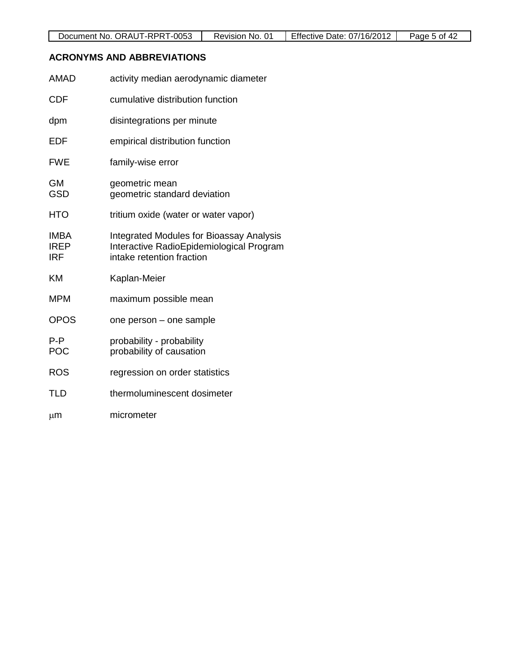### **ACRONYMS AND ABBREVIATIONS**

| <b>AMAD</b>                              | activity median aerodynamic diameter                                                                                     |
|------------------------------------------|--------------------------------------------------------------------------------------------------------------------------|
| <b>CDF</b>                               | cumulative distribution function                                                                                         |
| dpm                                      | disintegrations per minute                                                                                               |
| <b>EDF</b>                               | empirical distribution function                                                                                          |
| <b>FWE</b>                               | family-wise error                                                                                                        |
| <b>GM</b><br><b>GSD</b>                  | geometric mean<br>geometric standard deviation                                                                           |
| <b>HTO</b>                               | tritium oxide (water or water vapor)                                                                                     |
| <b>IMBA</b><br><b>IREP</b><br><b>IRF</b> | <b>Integrated Modules for Bioassay Analysis</b><br>Interactive RadioEpidemiological Program<br>intake retention fraction |
| <b>KM</b>                                | Kaplan-Meier                                                                                                             |
| <b>MPM</b>                               | maximum possible mean                                                                                                    |
| <b>OPOS</b>                              | one person – one sample                                                                                                  |
| $P - P$<br><b>POC</b>                    | probability - probability<br>probability of causation                                                                    |
| <b>ROS</b>                               | regression on order statistics                                                                                           |
| <b>TLD</b>                               | thermoluminescent dosimeter                                                                                              |
| μm                                       | micrometer                                                                                                               |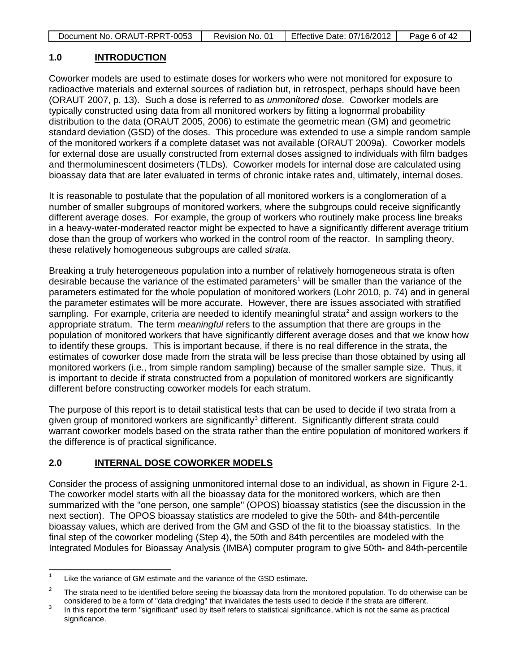|  | Document No. ORAUT-RPRT-0053 | Revision No. 01 | Effective Date: 07/16/2012 | Page 6 of 42 |
|--|------------------------------|-----------------|----------------------------|--------------|
|--|------------------------------|-----------------|----------------------------|--------------|

#### **1.0 INTRODUCTION**

Coworker models are used to estimate doses for workers who were not monitored for exposure to radioactive materials and external sources of radiation but, in retrospect, perhaps should have been (ORAUT 2007, p. 13). Such a dose is referred to as *unmonitored dose*. Coworker models are typically constructed using data from all monitored workers by fitting a lognormal probability distribution to the data (ORAUT 2005, 2006) to estimate the geometric mean (GM) and geometric standard deviation (GSD) of the doses. This procedure was extended to use a simple random sample of the monitored workers if a complete dataset was not available (ORAUT 2009a). Coworker models for external dose are usually constructed from external doses assigned to individuals with film badges and thermoluminescent dosimeters (TLDs). Coworker models for internal dose are calculated using bioassay data that are later evaluated in terms of chronic intake rates and, ultimately, internal doses.

It is reasonable to postulate that the population of all monitored workers is a conglomeration of a number of smaller subgroups of monitored workers, where the subgroups could receive significantly different average doses. For example, the group of workers who routinely make process line breaks in a heavy-water-moderated reactor might be expected to have a significantly different average tritium dose than the group of workers who worked in the control room of the reactor. In sampling theory, these relatively homogeneous subgroups are called *strata*.

Breaking a truly heterogeneous population into a number of relatively homogeneous strata is often desirable because the variance of the estimated parameters<sup>[1](#page-5-0)</sup> will be smaller than the variance of the parameters estimated for the whole population of monitored workers (Lohr 2010, p. 74) and in general the parameter estimates will be more accurate. However, there are issues associated with stratified sampling. For example, criteria are needed to identify meaningful strata<sup>[2](#page-5-1)</sup> and assign workers to the appropriate stratum. The term *meaningful* refers to the assumption that there are groups in the population of monitored workers that have significantly different average doses and that we know how to identify these groups. This is important because, if there is no real difference in the strata, the estimates of coworker dose made from the strata will be less precise than those obtained by using all monitored workers (i.e., from simple random sampling) because of the smaller sample size. Thus, it is important to decide if strata constructed from a population of monitored workers are significantly different before constructing coworker models for each stratum.

The purpose of this report is to detail statistical tests that can be used to decide if two strata from a given group of monitored workers are significantly<sup>[3](#page-5-2)</sup> different. Significantly different strata could warrant coworker models based on the strata rather than the entire population of monitored workers if the difference is of practical significance.

#### **2.0 INTERNAL DOSE COWORKER MODELS**

Consider the process of assigning unmonitored internal dose to an individual, as shown in Figure 2-1. The coworker model starts with all the bioassay data for the monitored workers, which are then summarized with the "one person, one sample" (OPOS) bioassay statistics (see the discussion in the next section). The OPOS bioassay statistics are modeled to give the 50th- and 84th-percentile bioassay values, which are derived from the GM and GSD of the fit to the bioassay statistics. In the final step of the coworker modeling (Step 4), the 50th and 84th percentiles are modeled with the Integrated Modules for Bioassay Analysis (IMBA) computer program to give 50th- and 84th-percentile

<span id="page-5-0"></span> $1 -$  Like the variance of GM estimate and the variance of the GSD estimate.

<span id="page-5-1"></span><sup>&</sup>lt;sup>2</sup> The strata need to be identified before seeing the bioassay data from the monitored population. To do otherwise can be considered to be a form of "data dredging" that invalidates the tests used to decide if the strata

<span id="page-5-2"></span><sup>&</sup>lt;sup>3</sup> In this report the term "significant" used by itself refers to statistical significance, which is not the same as practical significance.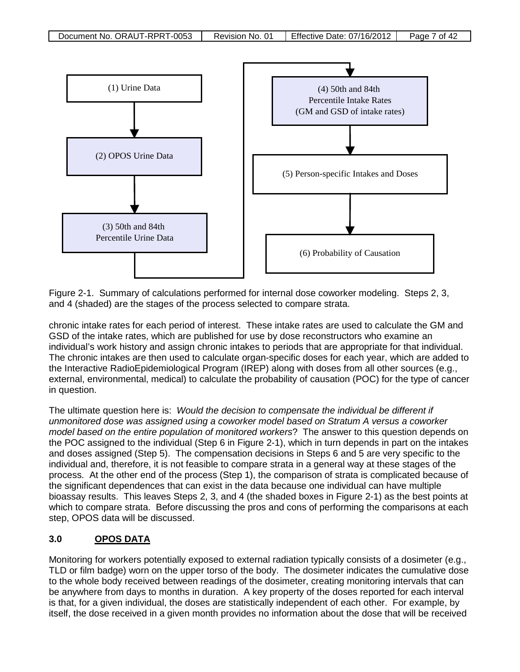

Figure 2-1. Summary of calculations performed for internal dose coworker modeling. Steps 2, 3, and 4 (shaded) are the stages of the process selected to compare strata.

chronic intake rates for each period of interest. These intake rates are used to calculate the GM and GSD of the intake rates, which are published for use by dose reconstructors who examine an individual's work history and assign chronic intakes to periods that are appropriate for that individual. The chronic intakes are then used to calculate organ-specific doses for each year, which are added to the Interactive RadioEpidemiological Program (IREP) along with doses from all other sources (e.g., external, environmental, medical) to calculate the probability of causation (POC) for the type of cancer in question.

The ultimate question here is: *Would the decision to compensate the individual be different if unmonitored dose was assigned using a coworker model based on Stratum A versus a coworker model based on the entire population of monitored workers*? The answer to this question depends on the POC assigned to the individual (Step 6 in Figure 2-1), which in turn depends in part on the intakes and doses assigned (Step 5). The compensation decisions in Steps 6 and 5 are very specific to the individual and, therefore, it is not feasible to compare strata in a general way at these stages of the process. At the other end of the process (Step 1), the comparison of strata is complicated because of the significant dependences that can exist in the data because one individual can have multiple bioassay results. This leaves Steps 2, 3, and 4 (the shaded boxes in Figure 2-1) as the best points at which to compare strata. Before discussing the pros and cons of performing the comparisons at each step, OPOS data will be discussed.

### **3.0 OPOS DATA**

Monitoring for workers potentially exposed to external radiation typically consists of a dosimeter (e.g., TLD or film badge) worn on the upper torso of the body. The dosimeter indicates the cumulative dose to the whole body received between readings of the dosimeter, creating monitoring intervals that can be anywhere from days to months in duration. A key property of the doses reported for each interval is that, for a given individual, the doses are statistically independent of each other. For example, by itself, the dose received in a given month provides no information about the dose that will be received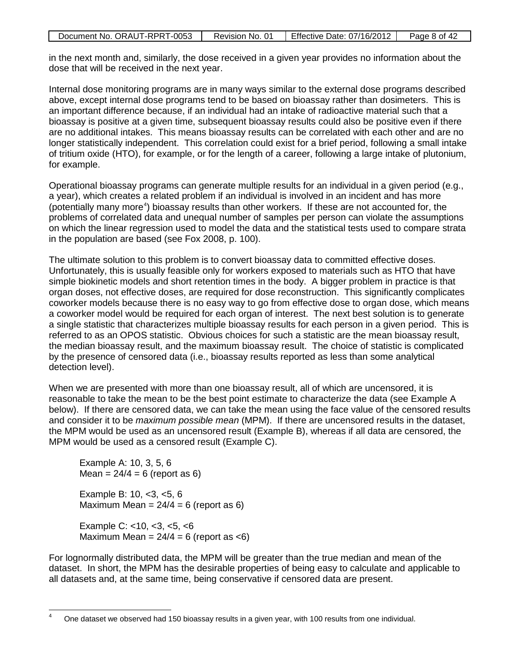| Document No. ORAUT-RPRT-0053 | Revision No. 01 | Effective Date: 07/16/2012 | Page 8 of 42 |
|------------------------------|-----------------|----------------------------|--------------|

in the next month and, similarly, the dose received in a given year provides no information about the dose that will be received in the next year.

Internal dose monitoring programs are in many ways similar to the external dose programs described above, except internal dose programs tend to be based on bioassay rather than dosimeters. This is an important difference because, if an individual had an intake of radioactive material such that a bioassay is positive at a given time, subsequent bioassay results could also be positive even if there are no additional intakes. This means bioassay results can be correlated with each other and are no longer statistically independent. This correlation could exist for a brief period, following a small intake of tritium oxide (HTO), for example, or for the length of a career, following a large intake of plutonium, for example.

Operational bioassay programs can generate multiple results for an individual in a given period (e.g., a year), which creates a related problem if an individual is involved in an incident and has more (potentially many more<sup>[4](#page-7-0)</sup>) bioassay results than other workers. If these are not accounted for, the problems of correlated data and unequal number of samples per person can violate the assumptions on which the linear regression used to model the data and the statistical tests used to compare strata in the population are based (see Fox 2008, p. 100).

The ultimate solution to this problem is to convert bioassay data to committed effective doses. Unfortunately, this is usually feasible only for workers exposed to materials such as HTO that have simple biokinetic models and short retention times in the body. A bigger problem in practice is that organ doses, not effective doses, are required for dose reconstruction. This significantly complicates coworker models because there is no easy way to go from effective dose to organ dose, which means a coworker model would be required for each organ of interest. The next best solution is to generate a single statistic that characterizes multiple bioassay results for each person in a given period. This is referred to as an OPOS statistic. Obvious choices for such a statistic are the mean bioassay result, the median bioassay result, and the maximum bioassay result. The choice of statistic is complicated by the presence of censored data (i.e., bioassay results reported as less than some analytical detection level).

When we are presented with more than one bioassay result, all of which are uncensored, it is reasonable to take the mean to be the best point estimate to characterize the data (see Example A below). If there are censored data, we can take the mean using the face value of the censored results and consider it to be *maximum possible mean* (MPM). If there are uncensored results in the dataset, the MPM would be used as an uncensored result (Example B), whereas if all data are censored, the MPM would be used as a censored result (Example C).

Example A: 10, 3, 5, 6  $Mean = 24/4 = 6 (report as 6)$ Example B: 10, <3, <5, 6 Maximum Mean =  $24/4 = 6$  (report as 6)

Example C: <10, <3, <5, <6 Maximum Mean =  $24/4 = 6$  (report as  $\lt 6$ )

For lognormally distributed data, the MPM will be greater than the true median and mean of the dataset. In short, the MPM has the desirable properties of being easy to calculate and applicable to all datasets and, at the same time, being conservative if censored data are present.

<span id="page-7-0"></span>One dataset we observed had 150 bioassay results in a given year, with 100 results from one individual.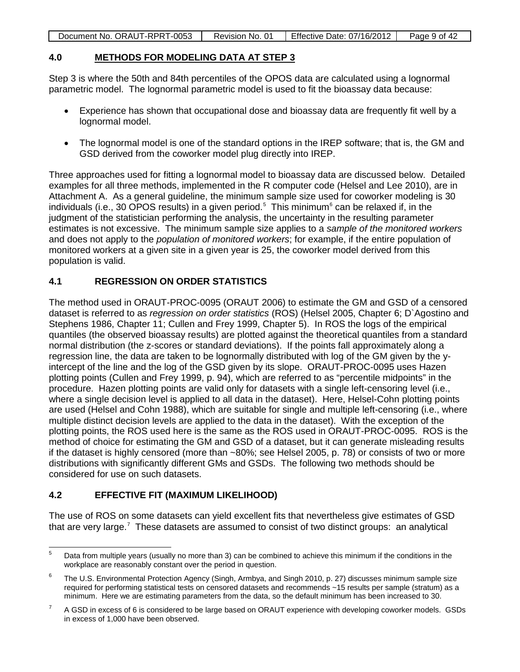| Document No. ORAUT-RPRT-0053 | Revision No. 01 | Effective Date: 07/16/2012 | Page 9 of 42 |
|------------------------------|-----------------|----------------------------|--------------|

### **4.0 METHODS FOR MODELING DATA AT STEP 3**

Step 3 is where the 50th and 84th percentiles of the OPOS data are calculated using a lognormal parametric model. The lognormal parametric model is used to fit the bioassay data because:

- Experience has shown that occupational dose and bioassay data are frequently fit well by a lognormal model.
- The lognormal model is one of the standard options in the IREP software; that is, the GM and GSD derived from the coworker model plug directly into IREP.

Three approaches used for fitting a lognormal model to bioassay data are discussed below. Detailed examples for all three methods, implemented in the R computer code (Helsel and Lee 2010), are in Attachment A. As a general guideline, the minimum sample size used for coworker modeling is 30 individuals (i.e., 30 OPOS results) in a given period.<sup>[5](#page-8-0)</sup> This minimum<sup>[6](#page-8-1)</sup> can be relaxed if, in the judgment of the statistician performing the analysis, the uncertainty in the resulting parameter estimates is not excessive. The minimum sample size applies to a *sample of the monitored workers* and does not apply to the *population of monitored workers*; for example, if the entire population of monitored workers at a given site in a given year is 25, the coworker model derived from this population is valid.

# **4.1 REGRESSION ON ORDER STATISTICS**

The method used in ORAUT-PROC-0095 (ORAUT 2006) to estimate the GM and GSD of a censored dataset is referred to as *regression on order statistics* (ROS) (Helsel 2005, Chapter 6; D`Agostino and Stephens 1986, Chapter 11; Cullen and Frey 1999, Chapter 5). In ROS the logs of the empirical quantiles (the observed bioassay results) are plotted against the theoretical quantiles from a standard normal distribution (the z-scores or standard deviations). If the points fall approximately along a regression line, the data are taken to be lognormally distributed with log of the GM given by the yintercept of the line and the log of the GSD given by its slope. ORAUT-PROC-0095 uses Hazen plotting points (Cullen and Frey 1999, p. 94), which are referred to as "percentile midpoints" in the procedure. Hazen plotting points are valid only for datasets with a single left-censoring level (i.e., where a single decision level is applied to all data in the dataset). Here, Helsel-Cohn plotting points are used (Helsel and Cohn 1988), which are suitable for single and multiple left-censoring (i.e., where multiple distinct decision levels are applied to the data in the dataset). With the exception of the plotting points, the ROS used here is the same as the ROS used in ORAUT-PROC-0095. ROS is the method of choice for estimating the GM and GSD of a dataset, but it can generate misleading results if the dataset is highly censored (more than ~80%; see Helsel 2005, p. 78) or consists of two or more distributions with significantly different GMs and GSDs. The following two methods should be considered for use on such datasets.

# **4.2 EFFECTIVE FIT (MAXIMUM LIKELIHOOD)**

The use of ROS on some datasets can yield excellent fits that nevertheless give estimates of GSD that are very large.<sup>[7](#page-8-2)</sup> These datasets are assumed to consist of two distinct groups: an analytical

<span id="page-8-0"></span> $5$  Data from multiple years (usually no more than 3) can be combined to achieve this minimum if the conditions in the workplace are reasonably constant over the period in question.

<span id="page-8-1"></span> $6$  The U.S. Environmental Protection Agency (Singh, Armbya, and Singh 2010, p. 27) discusses minimum sample size required for performing statistical tests on censored datasets and recommends ~15 results per sample (stratum) as a minimum. Here we are estimating parameters from the data, so the default minimum has been increased to 30.

<span id="page-8-2"></span> $7$  A GSD in excess of 6 is considered to be large based on ORAUT experience with developing coworker models. GSDs in excess of 1,000 have been observed.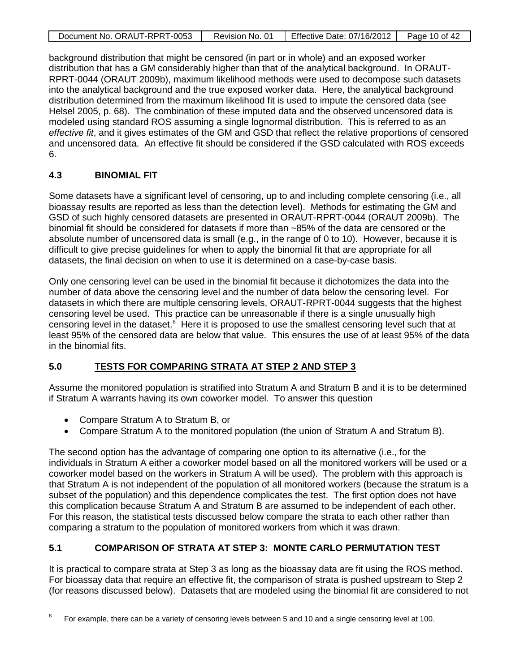| Document No. ORAUT-RPRT-0053 | Revision No. 01 | Effective Date: 07/16/2012 | Page 10 of 42 |
|------------------------------|-----------------|----------------------------|---------------|

background distribution that might be censored (in part or in whole) and an exposed worker distribution that has a GM considerably higher than that of the analytical background. In ORAUT-RPRT-0044 (ORAUT 2009b), maximum likelihood methods were used to decompose such datasets into the analytical background and the true exposed worker data. Here, the analytical background distribution determined from the maximum likelihood fit is used to impute the censored data (see Helsel 2005, p. 68). The combination of these imputed data and the observed uncensored data is modeled using standard ROS assuming a single lognormal distribution. This is referred to as an *effective fit*, and it gives estimates of the GM and GSD that reflect the relative proportions of censored and uncensored data. An effective fit should be considered if the GSD calculated with ROS exceeds 6.

### **4.3 BINOMIAL FIT**

Some datasets have a significant level of censoring, up to and including complete censoring (i.e., all bioassay results are reported as less than the detection level). Methods for estimating the GM and GSD of such highly censored datasets are presented in ORAUT-RPRT-0044 (ORAUT 2009b). The binomial fit should be considered for datasets if more than ~85% of the data are censored or the absolute number of uncensored data is small (e.g., in the range of 0 to 10). However, because it is difficult to give precise guidelines for when to apply the binomial fit that are appropriate for all datasets, the final decision on when to use it is determined on a case-by-case basis.

Only one censoring level can be used in the binomial fit because it dichotomizes the data into the number of data above the censoring level and the number of data below the censoring level. For datasets in which there are multiple censoring levels, ORAUT-RPRT-0044 suggests that the highest censoring level be used. This practice can be unreasonable if there is a single unusually high censoring level in the dataset.<sup>[8](#page-9-0)</sup> Here it is proposed to use the smallest censoring level such that at least 95% of the censored data are below that value. This ensures the use of at least 95% of the data in the binomial fits.

### **5.0 TESTS FOR COMPARING STRATA AT STEP 2 AND STEP 3**

Assume the monitored population is stratified into Stratum A and Stratum B and it is to be determined if Stratum A warrants having its own coworker model. To answer this question

- Compare Stratum A to Stratum B, or
- Compare Stratum A to the monitored population (the union of Stratum A and Stratum B).

The second option has the advantage of comparing one option to its alternative (i.e., for the individuals in Stratum A either a coworker model based on all the monitored workers will be used or a coworker model based on the workers in Stratum A will be used). The problem with this approach is that Stratum A is not independent of the population of all monitored workers (because the stratum is a subset of the population) and this dependence complicates the test. The first option does not have this complication because Stratum A and Stratum B are assumed to be independent of each other. For this reason, the statistical tests discussed below compare the strata to each other rather than comparing a stratum to the population of monitored workers from which it was drawn.

### **5.1 COMPARISON OF STRATA AT STEP 3: MONTE CARLO PERMUTATION TEST**

It is practical to compare strata at Step 3 as long as the bioassay data are fit using the ROS method. For bioassay data that require an effective fit, the comparison of strata is pushed upstream to Step 2 (for reasons discussed below). Datasets that are modeled using the binomial fit are considered to not

<span id="page-9-0"></span> $8$  For example, there can be a variety of censoring levels between 5 and 10 and a single censoring level at 100.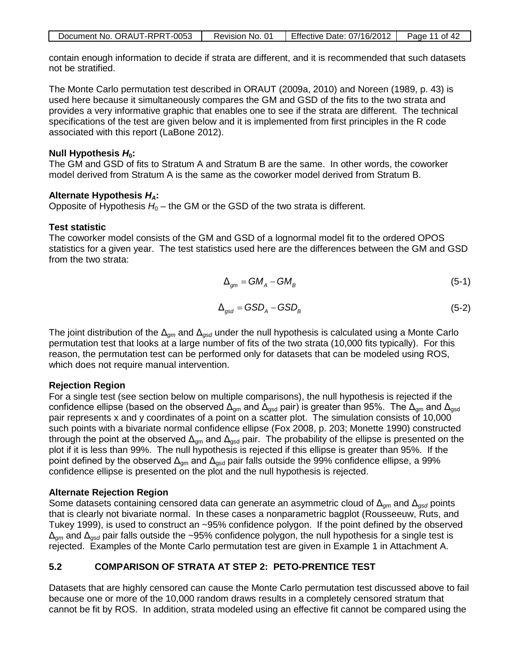| Document No. ORAUT-RPRT-0053 | Revision No. 01 | Effective Date: $07/16/2012$ | Page 11 of 42 |
|------------------------------|-----------------|------------------------------|---------------|
|                              |                 |                              |               |

contain enough information to decide if strata are different, and it is recommended that such datasets not be stratified.

The Monte Carlo permutation test described in ORAUT (2009a, 2010) and Noreen (1989, p. 43) is used here because it simultaneously compares the GM and GSD of the fits to the two strata and provides a very informative graphic that enables one to see if the strata are different. The technical specifications of the test are given below and it is implemented from first principles in the R code associated with this report (LaBone 2012).

#### **Null Hypothesis**  $H_0$ **:**

The GM and GSD of fits to Stratum A and Stratum B are the same. In other words, the coworker model derived from Stratum A is the same as the coworker model derived from Stratum B.

#### **Alternate Hypothesis** *HA***:**

Opposite of Hypothesis  $H_0$  – the GM or the GSD of the two strata is different.

#### **Test statistic**

The coworker model consists of the GM and GSD of a lognormal model fit to the ordered OPOS statistics for a given year. The test statistics used here are the differences between the GM and GSD from the two strata:

$$
\Delta_{gm} = GM_A - GM_B \tag{5-1}
$$

$$
\Delta_{gsd} = GSD_A - GSD_B \tag{5-2}
$$

The joint distribution of the Δ*gm* and Δ*gsd* under the null hypothesis is calculated using a Monte Carlo permutation test that looks at a large number of fits of the two strata (10,000 fits typically). For this reason, the permutation test can be performed only for datasets that can be modeled using ROS, which does not require manual intervention.

#### **Rejection Region**

For a single test (see section below on multiple comparisons), the null hypothesis is rejected if the confidence ellipse (based on the observed  $\Delta_{\text{qm}}$  and  $\Delta_{\text{gsd}}$  pair) is greater than 95%. The  $\Delta_{\text{qm}}$  and  $\Delta_{\text{gsd}}$ pair represents x and y coordinates of a point on a scatter plot. The simulation consists of 10,000 such points with a bivariate normal confidence ellipse (Fox 2008, p. 203; Monette 1990) constructed through the point at the observed  $\Delta_{qm}$  and  $\Delta_{qsd}$  pair. The probability of the ellipse is presented on the plot if it is less than 99%. The null hypothesis is rejected if this ellipse is greater than 95%. If the point defined by the observed  $\Delta_{gm}$  and  $\Delta_{gsd}$  pair falls outside the 99% confidence ellipse, a 99% confidence ellipse is presented on the plot and the null hypothesis is rejected.

#### **Alternate Rejection Region**

Some datasets containing censored data can generate an asymmetric cloud of Δ*gm* and Δ*gsd* points that is clearly not bivariate normal. In these cases a nonparametric bagplot (Rousseeuw, Ruts, and Tukey 1999), is used to construct an ~95% confidence polygon. If the point defined by the observed Δ*gm* and Δ*gsd* pair falls outside the ~95% confidence polygon, the null hypothesis for a single test is rejected. Examples of the Monte Carlo permutation test are given in Example 1 in Attachment A.

### **5.2 COMPARISON OF STRATA AT STEP 2: PETO-PRENTICE TEST**

Datasets that are highly censored can cause the Monte Carlo permutation test discussed above to fail because one or more of the 10,000 random draws results in a completely censored stratum that cannot be fit by ROS. In addition, strata modeled using an effective fit cannot be compared using the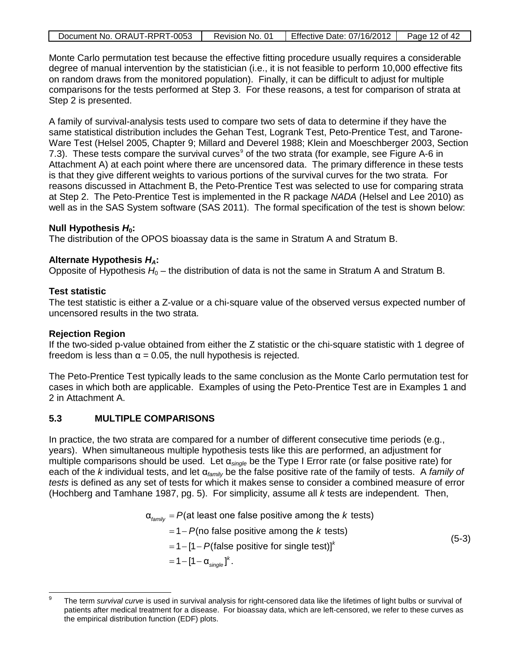| Document No. ORAUT-RPRT-0053 | Revision No. 01 | Effective Date: 07/16/2012   Page 12 of 42 |  |
|------------------------------|-----------------|--------------------------------------------|--|
|                              |                 |                                            |  |

Monte Carlo permutation test because the effective fitting procedure usually requires a considerable degree of manual intervention by the statistician (i.e., it is not feasible to perform 10,000 effective fits on random draws from the monitored population). Finally, it can be difficult to adjust for multiple comparisons for the tests performed at Step 3. For these reasons, a test for comparison of strata at Step 2 is presented.

A family of survival-analysis tests used to compare two sets of data to determine if they have the same statistical distribution includes the Gehan Test, Logrank Test, Peto-Prentice Test, and Tarone-Ware Test (Helsel 2005, Chapter 9; Millard and Deverel 1988; Klein and Moeschberger 2003, Section 7.3). These tests compare the survival curves<sup>[9](#page-11-0)</sup> of the two strata (for example, see Figure A-6 in Attachment A) at each point where there are uncensored data. The primary difference in these tests is that they give different weights to various portions of the survival curves for the two strata. For reasons discussed in Attachment B, the Peto-Prentice Test was selected to use for comparing strata at Step 2. The Peto-Prentice Test is implemented in the R package *NADA* (Helsel and Lee 2010) as well as in the SAS System software (SAS 2011). The formal specification of the test is shown below:

#### **Null Hypothesis**  $H_0$ **:**

The distribution of the OPOS bioassay data is the same in Stratum A and Stratum B.

#### **Alternate Hypothesis** *HA***:**

Opposite of Hypothesis  $H_0$  – the distribution of data is not the same in Stratum A and Stratum B.

#### **Test statistic**

The test statistic is either a Z-value or a chi-square value of the observed versus expected number of uncensored results in the two strata.

#### **Rejection Region**

If the two-sided p-value obtained from either the Z statistic or the chi-square statistic with 1 degree of freedom is less than  $\alpha$  = 0.05, the null hypothesis is rejected.

The Peto-Prentice Test typically leads to the same conclusion as the Monte Carlo permutation test for cases in which both are applicable. Examples of using the Peto-Prentice Test are in Examples 1 and 2 in Attachment A.

#### **5.3 MULTIPLE COMPARISONS**

In practice, the two strata are compared for a number of different consecutive time periods (e.g., years). When simultaneous multiple hypothesis tests like this are performed, an adjustment for multiple comparisons should be used. Let α*single* be the Type I Error rate (or false positive rate) for each of the *k* individual tests, and let α*family* be the false positive rate of the family of tests. A *family of tests* is defined as any set of tests for which it makes sense to consider a combined measure of error (Hochberg and Tamhane 1987, pg. 5). For simplicity, assume all *k* tests are independent. Then,

$$
\alpha_{\text{family}} = P(\text{at least one false positive among the } k \text{ tests})
$$
  
= 1 - P(no false positive among the *k* tests)  
= 1 - [1 - P(false positive for single test)]<sup>k</sup>  
= 1 - [1 - \alpha\_{\text{single}}]^k. (5-3)

<span id="page-11-0"></span>The term *survival curve* is used in survival analysis for right-censored data like the lifetimes of light bulbs or survival of patients after medical treatment for a disease. For bioassay data, which are left-censored, we refer to these curves as the empirical distribution function (EDF) plots.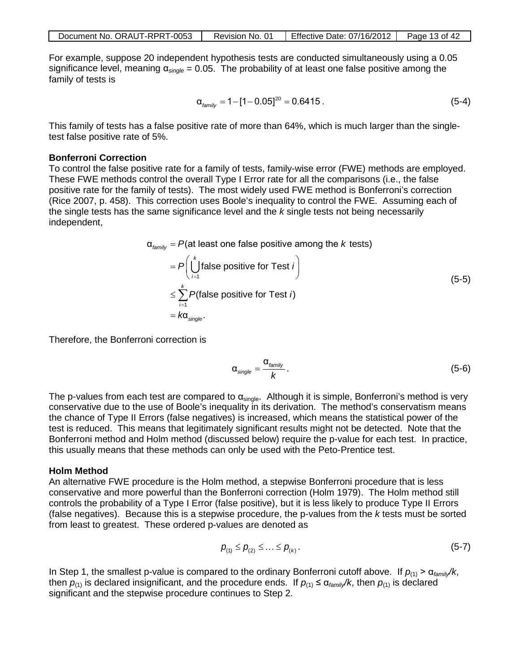| Document No. ORAUT-RPRT-0053 | Revision No. 01 | Effective Date: 07/16/2012   Page 13 of 42 |  |
|------------------------------|-----------------|--------------------------------------------|--|
|------------------------------|-----------------|--------------------------------------------|--|

For example, suppose 20 independent hypothesis tests are conducted simultaneously using a 0.05 significance level, meaning α*single* = 0.05. The probability of at least one false positive among the family of tests is

$$
\alpha_{\text{family}} = 1 - [1 - 0.05]^{20} = 0.6415 \,. \tag{5-4}
$$

This family of tests has a false positive rate of more than 64%, which is much larger than the singletest false positive rate of 5%.

#### **Bonferroni Correction**

To control the false positive rate for a family of tests, family-wise error (FWE) methods are employed. These FWE methods control the overall Type I Error rate for all the comparisons (i.e., the false positive rate for the family of tests). The most widely used FWE method is Bonferroni's correction (Rice 2007, p. 458). This correction uses Boole's inequality to control the FWE. Assuming each of the single tests has the same significance level and the *k* single tests not being necessarily independent,

$$
\alpha_{\text{family}} = P(\text{at least one false positive among the } k \text{ tests})
$$
\n
$$
= P\left(\bigcup_{i=1}^{k} \text{false positive for Test } i\right)
$$
\n
$$
\leq \sum_{i=1}^{k} P(\text{false positive for Test } i)
$$
\n
$$
= k\alpha_{\text{single}}.
$$
\n(5-5)

Therefore, the Bonferroni correction is

$$
\alpha_{\text{single}} = \frac{\alpha_{\text{family}}}{k} \,. \tag{5-6}
$$

The p-values from each test are compared to  $\alpha_{single}$ . Although it is simple, Bonferroni's method is very conservative due to the use of Boole's inequality in its derivation. The method's conservatism means the chance of Type II Errors (false negatives) is increased, which means the statistical power of the test is reduced. This means that legitimately significant results might not be detected. Note that the Bonferroni method and Holm method (discussed below) require the p-value for each test. In practice, this usually means that these methods can only be used with the Peto-Prentice test.

#### **Holm Method**

An alternative FWE procedure is the Holm method, a stepwise Bonferroni procedure that is less conservative and more powerful than the Bonferroni correction (Holm 1979). The Holm method still controls the probability of a Type I Error (false positive), but it is less likely to produce Type II Errors (false negatives). Because this is a stepwise procedure, the p-values from the *k* tests must be sorted from least to greatest. These ordered p-values are denoted as

$$
p_{(1)} \leq p_{(2)} \leq \ldots \leq p_{(k)} \,.
$$

In Step 1, the smallest p-value is compared to the ordinary Bonferroni cutoff above. If  $p_{(1)} > α_{fami}/k$ , then  $p_{(1)}$  is declared insignificant, and the procedure ends. If  $p_{(1)} \le \alpha_{\text{familiar}}/k$ , then  $p_{(1)}$  is declared significant and the stepwise procedure continues to Step 2.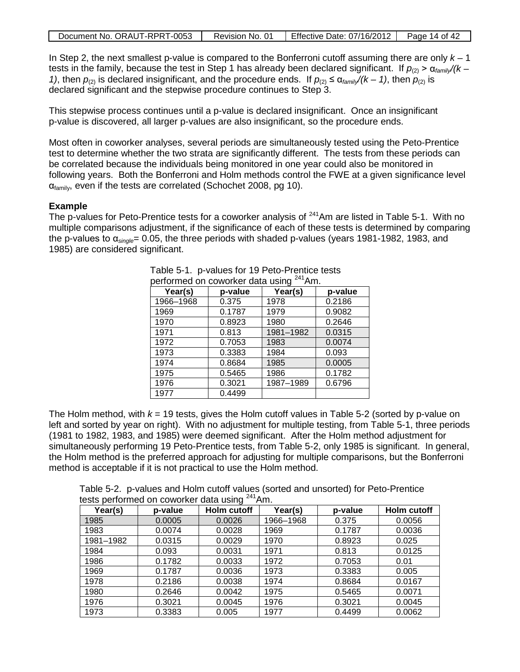| Document No. ORAUT-RPRT-0053 | Revision No. 01 | Effective Date: 07/16/2012 | Page 14 of 42 |
|------------------------------|-----------------|----------------------------|---------------|
|------------------------------|-----------------|----------------------------|---------------|

In Step 2, the next smallest p-value is compared to the Bonferroni cutoff assuming there are only *k* – 1 tests in the family, because the test in Step 1 has already been declared significant. If  $p_{(2)}$  > α<sub>family</sub>/(k – *1)*, then  $p_{(2)}$  is declared insignificant, and the procedure ends. If  $p_{(2)} \le \alpha_{\text{family}}/(k-1)$ , then  $p_{(2)}$  is declared significant and the stepwise procedure continues to Step 3.

This stepwise process continues until a p-value is declared insignificant. Once an insignificant p-value is discovered, all larger p-values are also insignificant, so the procedure ends.

Most often in coworker analyses, several periods are simultaneously tested using the Peto-Prentice test to determine whether the two strata are significantly different. The tests from these periods can be correlated because the individuals being monitored in one year could also be monitored in following years. Both the Bonferroni and Holm methods control the FWE at a given significance level  $\alpha_{\text{family}}$ , even if the tests are correlated (Schochet 2008, pg 10).

#### **Example**

The p-values for Peto-Prentice tests for a coworker analysis of  $^{241}$ Am are listed in Table 5-1. With no multiple comparisons adjustment, if the significance of each of these tests is determined by comparing the p-values to α*single*= 0.05, the three periods with shaded p-values (years 1981-1982, 1983, and 1985) are considered significant.

| penumied on coworker data dsing<br>AUL. |         |           |         |  |
|-----------------------------------------|---------|-----------|---------|--|
| Year(s)                                 | p-value | Year(s)   | p-value |  |
| 1966-1968                               | 0.375   | 1978      | 0.2186  |  |
| 1969                                    | 0.1787  | 1979      | 0.9082  |  |
| 1970                                    | 0.8923  | 1980      | 0.2646  |  |
| 1971                                    | 0.813   | 1981-1982 | 0.0315  |  |
| 1972                                    | 0.7053  | 1983      | 0.0074  |  |
| 1973                                    | 0.3383  | 1984      | 0.093   |  |
| 1974                                    | 0.8684  | 1985      | 0.0005  |  |
| 1975                                    | 0.5465  | 1986      | 0.1782  |  |
| 1976                                    | 0.3021  | 1987-1989 | 0.6796  |  |
| 1977                                    | 0.4499  |           |         |  |

| Table 5-1. p-values for 19 Peto-Prentice tests      |  |
|-----------------------------------------------------|--|
| nerformed on coworker data using <sup>241</sup> Am. |  |

The Holm method, with  $k = 19$  tests, gives the Holm cutoff values in Table 5-2 (sorted by p-value on left and sorted by year on right). With no adjustment for multiple testing, from Table 5-1, three periods (1981 to 1982, 1983, and 1985) were deemed significant. After the Holm method adjustment for simultaneously performing 19 Peto-Prentice tests, from Table 5-2, only 1985 is significant. In general, the Holm method is the preferred approach for adjusting for multiple comparisons, but the Bonferroni method is acceptable if it is not practical to use the Holm method.

Table 5-2. p-values and Holm cutoff values (sorted and unsorted) for Peto-Prentice tests performed on coworker data using <sup>241</sup>Am.

| Year(s)   | p-value | Holm cutoff | Year(s)   | p-value | Holm cutoff |
|-----------|---------|-------------|-----------|---------|-------------|
| 1985      | 0.0005  | 0.0026      | 1966-1968 | 0.375   | 0.0056      |
| 1983      | 0.0074  | 0.0028      | 1969      | 0.1787  | 0.0036      |
| 1981-1982 | 0.0315  | 0.0029      | 1970      | 0.8923  | 0.025       |
| 1984      | 0.093   | 0.0031      | 1971      | 0.813   | 0.0125      |
| 1986      | 0.1782  | 0.0033      | 1972      | 0.7053  | 0.01        |
| 1969      | 0.1787  | 0.0036      | 1973      | 0.3383  | 0.005       |
| 1978      | 0.2186  | 0.0038      | 1974      | 0.8684  | 0.0167      |
| 1980      | 0.2646  | 0.0042      | 1975      | 0.5465  | 0.0071      |
| 1976      | 0.3021  | 0.0045      | 1976      | 0.3021  | 0.0045      |
| 1973      | 0.3383  | 0.005       | 1977      | 0.4499  | 0.0062      |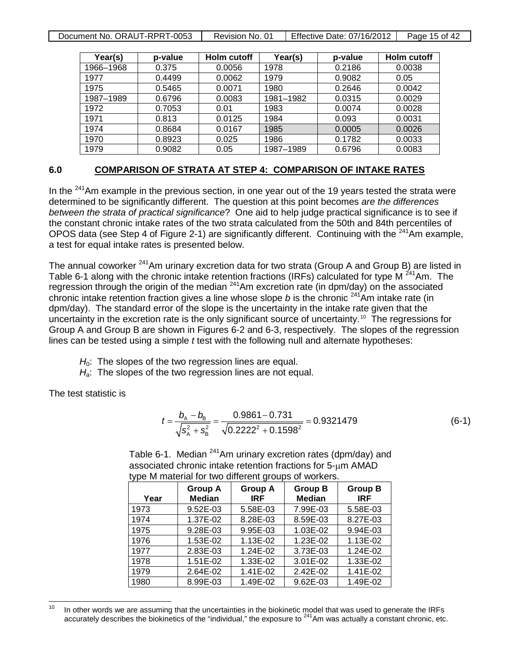Document No. ORAUT-RPRT-0053 | Revision No. 01 | Effective Date: 07/16/2012 | Page 15 of 42

| Year(s)   | p-value | Holm cutoff | Year(s)   | p-value | <b>Holm cutoff</b> |
|-----------|---------|-------------|-----------|---------|--------------------|
| 1966-1968 | 0.375   | 0.0056      | 1978      | 0.2186  | 0.0038             |
| 1977      | 0.4499  | 0.0062      | 1979      | 0.9082  | 0.05               |
| 1975      | 0.5465  | 0.0071      | 1980      | 0.2646  | 0.0042             |
| 1987-1989 | 0.6796  | 0.0083      | 1981-1982 | 0.0315  | 0.0029             |
| 1972      | 0.7053  | 0.01        | 1983      | 0.0074  | 0.0028             |
| 1971      | 0.813   | 0.0125      | 1984      | 0.093   | 0.0031             |
| 1974      | 0.8684  | 0.0167      | 1985      | 0.0005  | 0.0026             |
| 1970      | 0.8923  | 0.025       | 1986      | 0.1782  | 0.0033             |
| 1979      | 0.9082  | 0.05        | 1987-1989 | 0.6796  | 0.0083             |

#### **6.0 COMPARISON OF STRATA AT STEP 4: COMPARISON OF INTAKE RATES**

In the  $241$ Am example in the previous section, in one year out of the 19 years tested the strata were determined to be significantly different. The question at this point becomes *are the differences between the strata of practical significance*? One aid to help judge practical significance is to see if the constant chronic intake rates of the two strata calculated from the 50th and 84th percentiles of OPOS data (see Step 4 of Figure 2-1) are significantly different. Continuing with the <sup>241</sup>Am example, a test for equal intake rates is presented below.

The annual coworker <sup>241</sup>Am urinary excretion data for two strata (Group A and Group B) are listed in Table 6-1 along with the chronic intake retention fractions (IRFs) calculated for type M<sup>241</sup>Am. The regression through the origin of the median <sup>241</sup>Am excretion rate (in dpm/day) on the associated chronic intake retention fraction gives a line whose slope *b* is the chronic  $241\text{\AA}$ m intake rate (in dpm/day). The standard error of the slope is the uncertainty in the intake rate given that the uncertainty in the excretion rate is the only significant source of uncertainty.<sup>[10](#page-14-0)</sup> The regressions for Group A and Group B are shown in Figures 6-2 and 6-3, respectively. The slopes of the regression lines can be tested using a simple *t* test with the following null and alternate hypotheses:

- H<sub>0</sub>: The slopes of the two regression lines are equal.
- *Ha*: The slopes of the two regression lines are not equal.

The test statistic is

$$
t = \frac{b_{A} - b_{B}}{\sqrt{s_{A}^{2} + s_{B}^{2}}} = \frac{0.9861 - 0.731}{\sqrt{0.2222^{2} + 0.1598^{2}}} = 0.9321479
$$
 (6-1)

| Table 6-1. Median <sup>241</sup> Am urinary excretion rates (dpm/day) and |
|---------------------------------------------------------------------------|
| associated chronic intake retention fractions for 5-µm AMAD               |
| type M material for two different groups of workers.                      |

| Year | <b>Group A</b><br><b>Median</b> | <b>Group A</b><br><b>IRF</b> | <b>Group B</b><br><b>Median</b> | <b>Group B</b><br><b>IRF</b> |
|------|---------------------------------|------------------------------|---------------------------------|------------------------------|
| 1973 | 9.52E-03                        | 5.58E-03                     | 7.99E-03                        | 5.58E-03                     |
| 1974 | 1.37E-02                        | 8.28E-03                     | 8.59E-03                        | 8.27E-03                     |
| 1975 | 9.28E-03                        | 9.95E-03                     | 1.03E-02                        | 9.94E-03                     |
| 1976 | 1.53E-02                        | 1.13E-02                     | 1.23E-02                        | 1.13E-02                     |
| 1977 | 2.83E-03                        | 1.24E-02                     | 3.73E-03                        | 1.24E-02                     |
| 1978 | 1.51E-02                        | 1.33E-02                     | 3.01E-02                        | 1.33E-02                     |
| 1979 | 2.64E-02                        | 1.41E-02                     | 2.42E-02                        | 1.41E-02                     |
| 1980 | 8.99E-03                        | 1.49E-02                     | 9.62E-03                        | 1.49E-02                     |

<span id="page-14-0"></span><sup>10</sup> In other words we are assuming that the uncertainties in the biokinetic model that was used to generate the IRFs accurately describes the biokinetics of the "individual," the exposure to <sup>241</sup>Am was actually a constant chronic, etc.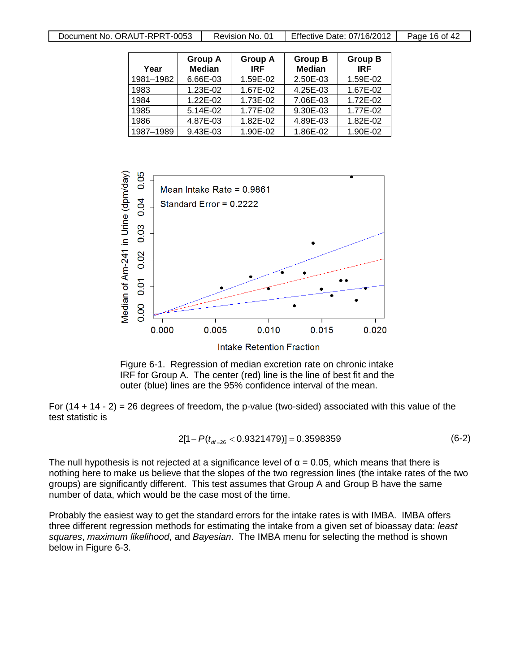| Document No. ORAUT-RPRT-0053 | Revision No. 01 | Effective Date: 07/16/2012 | Page 16 of 42 |
|------------------------------|-----------------|----------------------------|---------------|

| Year      | <b>Group A</b><br><b>Median</b> | <b>Group A</b><br><b>IRF</b> | <b>Group B</b><br><b>Median</b> | <b>Group B</b><br><b>IRF</b> |
|-----------|---------------------------------|------------------------------|---------------------------------|------------------------------|
| 1981-1982 | 6.66E-03                        | 1.59E-02                     | 2.50E-03                        | 1.59E-02                     |
| 1983      | 1.23E-02                        | 1.67E-02                     | 4.25E-03                        | 1.67E-02                     |
| 1984      | 1.22E-02                        | 1.73E-02                     | 7.06E-03                        | 1.72E-02                     |
| 1985      | 5.14E-02                        | 1.77E-02                     | 9.30E-03                        | 1.77E-02                     |
| 1986      | 4.87E-03                        | 1.82E-02                     | 4.89E-03                        | 1.82E-02                     |
| 1987-1989 | 9.43E-03                        | 1.90E-02                     | 1.86E-02                        | 1.90E-02                     |





For  $(14 + 14 - 2) = 26$  degrees of freedom, the p-value (two-sided) associated with this value of the test statistic is

$$
2[1 - P(t_{dt=26} < 0.9321479)] = 0.3598359
$$
 (6-2)

The null hypothesis is not rejected at a significance level of  $\alpha$  = 0.05, which means that there is nothing here to make us believe that the slopes of the two regression lines (the intake rates of the two groups) are significantly different. This test assumes that Group A and Group B have the same number of data, which would be the case most of the time.

Probably the easiest way to get the standard errors for the intake rates is with IMBA. IMBA offers three different regression methods for estimating the intake from a given set of bioassay data: *least squares*, *maximum likelihood*, and *Bayesian*. The IMBA menu for selecting the method is shown below in Figure 6-3.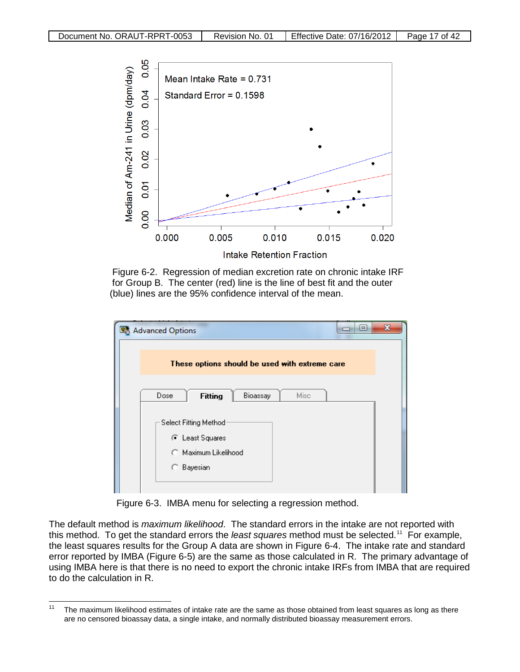

 Figure 6-2. Regression of median excretion rate on chronic intake IRF for Group B. The center (red) line is the line of best fit and the outer (blue) lines are the 95% confidence interval of the mean.

| ▣<br><b>Advanced Options</b><br>區              | х |  |  |  |  |  |
|------------------------------------------------|---|--|--|--|--|--|
| These options should be used with extreme care |   |  |  |  |  |  |
| Dose<br><b>Fitting</b><br>Bioassay<br>Misc     |   |  |  |  |  |  |
| Select Fitting Method                          |   |  |  |  |  |  |
| ⊙ Least Squares<br>C Maximum Likelihood        |   |  |  |  |  |  |
| <b>C</b> Bayesian                              |   |  |  |  |  |  |

Figure 6-3. IMBA menu for selecting a regression method.

The default method is *maximum likelihood*. The standard errors in the intake are not reported with this method. To get the standard errors the *least squares* method must be selected.[11](#page-16-0) For example, the least squares results for the Group A data are shown in Figure 6-4. The intake rate and standard error reported by IMBA (Figure 6-5) are the same as those calculated in R. The primary advantage of using IMBA here is that there is no need to export the chronic intake IRFs from IMBA that are required to do the calculation in R.

<span id="page-16-0"></span><sup>&</sup>lt;sup>11</sup> The maximum likelihood estimates of intake rate are the same as those obtained from least squares as long as there are no censored bioassay data, a single intake, and normally distributed bioassay measurement errors.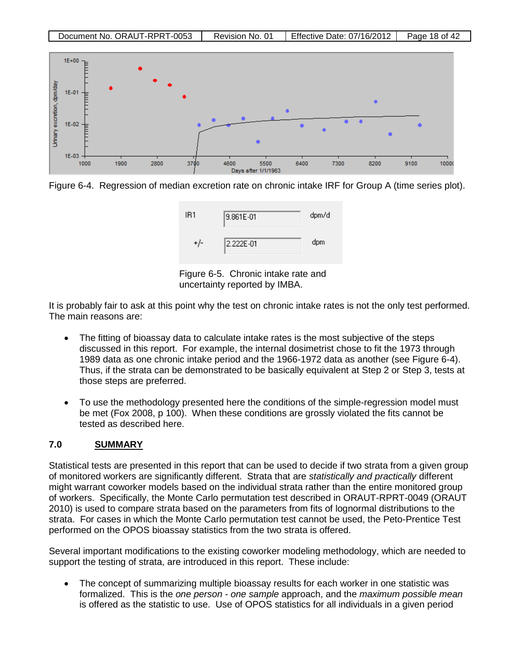

Figure 6-4. Regression of median excretion rate on chronic intake IRF for Group A (time series plot).



Figure 6-5. Chronic intake rate and uncertainty reported by IMBA.

It is probably fair to ask at this point why the test on chronic intake rates is not the only test performed. The main reasons are:

- The fitting of bioassay data to calculate intake rates is the most subjective of the steps discussed in this report. For example, the internal dosimetrist chose to fit the 1973 through 1989 data as one chronic intake period and the 1966-1972 data as another (see Figure 6-4). Thus, if the strata can be demonstrated to be basically equivalent at Step 2 or Step 3, tests at those steps are preferred.
- To use the methodology presented here the conditions of the simple-regression model must be met (Fox 2008, p 100). When these conditions are grossly violated the fits cannot be tested as described here.

#### **7.0 SUMMARY**

Statistical tests are presented in this report that can be used to decide if two strata from a given group of monitored workers are significantly different. Strata that are *statistically and practically* different might warrant coworker models based on the individual strata rather than the entire monitored group of workers. Specifically, the Monte Carlo permutation test described in ORAUT-RPRT-0049 (ORAUT 2010) is used to compare strata based on the parameters from fits of lognormal distributions to the strata. For cases in which the Monte Carlo permutation test cannot be used, the Peto-Prentice Test performed on the OPOS bioassay statistics from the two strata is offered.

Several important modifications to the existing coworker modeling methodology, which are needed to support the testing of strata, are introduced in this report. These include:

• The concept of summarizing multiple bioassay results for each worker in one statistic was formalized. This is the *one person - one sample* approach, and the *maximum possible mean* is offered as the statistic to use. Use of OPOS statistics for all individuals in a given period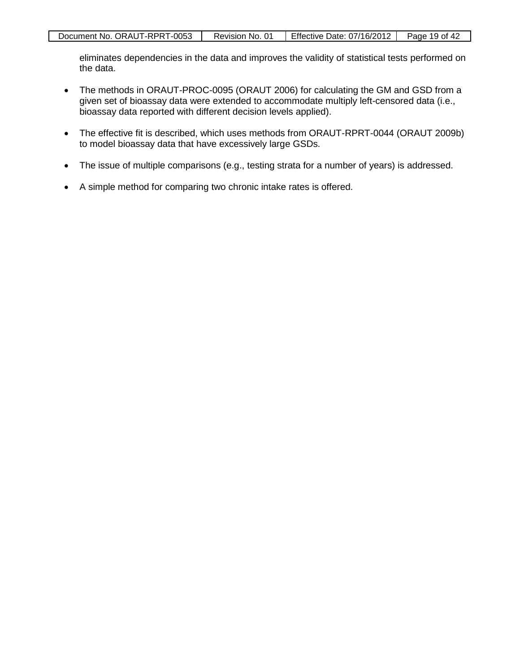eliminates dependencies in the data and improves the validity of statistical tests performed on the data.

- The methods in ORAUT-PROC-0095 (ORAUT 2006) for calculating the GM and GSD from a given set of bioassay data were extended to accommodate multiply left-censored data (i.e., bioassay data reported with different decision levels applied).
- The effective fit is described, which uses methods from ORAUT-RPRT-0044 (ORAUT 2009b) to model bioassay data that have excessively large GSDs.
- The issue of multiple comparisons (e.g., testing strata for a number of years) is addressed.
- A simple method for comparing two chronic intake rates is offered.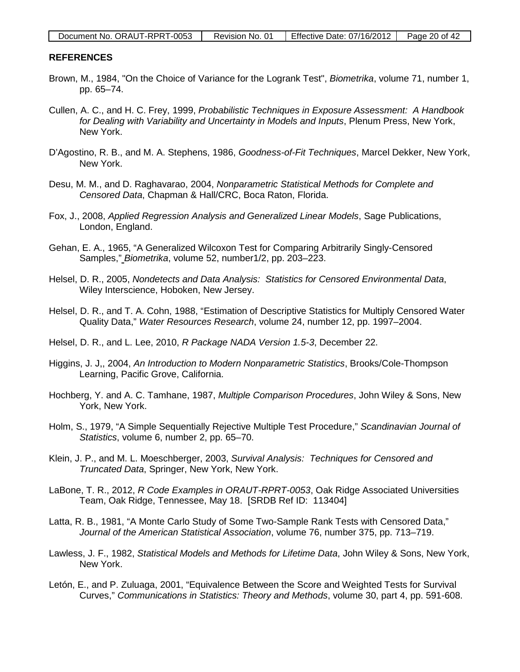| Document No. ORAUT-RPRT-0053 | Revision No. 01 | Effective Date: $07/16/2012$   Page 20 of 42 |  |
|------------------------------|-----------------|----------------------------------------------|--|
|------------------------------|-----------------|----------------------------------------------|--|

#### **REFERENCES**

- Brown, M., 1984, "On the Choice of Variance for the Logrank Test", *Biometrika*, volume 71, number 1, pp. 65–74.
- Cullen, A. C., and H. C. Frey, 1999, *Probabilistic Techniques in Exposure Assessment: A Handbook for Dealing with Variability and Uncertainty in Models and Inputs*, Plenum Press, New York, New York.
- D'Agostino, R. B., and M. A. Stephens, 1986, *Goodness-of-Fit Techniques*, Marcel Dekker, New York, New York.
- Desu, M. M., and D. Raghavarao, 2004, *Nonparametric Statistical Methods for Complete and Censored Data*, Chapman & Hall/CRC, Boca Raton, Florida.
- Fox, J., 2008, *Applied Regression Analysis and Generalized Linear Models*, Sage Publications, London, England.
- Gehan, E. A., 1965, "A Generalized Wilcoxon Test for Comparing Arbitrarily Singly-Censored Samples," *Biometrika*, volume 52, number1/2, pp. 203–223.
- Helsel, D. R., 2005, *Nondetects and Data Analysis: Statistics for Censored Environmental Data*, Wiley Interscience, Hoboken, New Jersey.
- Helsel, D. R., and T. A. Cohn, 1988, "Estimation of Descriptive Statistics for Multiply Censored Water Quality Data," *Water Resources Research*, volume 24, number 12, pp. 1997–2004.
- Helsel, D. R., and L. Lee, 2010, *R Package NADA Version 1.5-3*, December 22.
- Higgins, J. J,, 2004, *An Introduction to Modern Nonparametric Statistics*, Brooks/Cole-Thompson Learning, Pacific Grove, California.
- Hochberg, Y. and A. C. Tamhane, 1987, *Multiple Comparison Procedures*, John Wiley & Sons, New York, New York.
- Holm, S., 1979, "A Simple Sequentially Rejective Multiple Test Procedure," *Scandinavian Journal of Statistics*, volume 6, number 2, pp. 65–70.
- Klein, J. P., and M. L. Moeschberger, 2003, *Survival Analysis: Techniques for Censored and Truncated Data*, Springer, New York, New York.
- LaBone, T. R., 2012, *R Code Examples in ORAUT-RPRT-0053*, Oak Ridge Associated Universities Team, Oak Ridge, Tennessee, May 18. [SRDB Ref ID: 113404]
- Latta, R. B., 1981, "A Monte Carlo Study of Some Two-Sample Rank Tests with Censored Data," *Journal of the American Statistical Association*, volume 76, number 375, pp. 713–719.
- Lawless, J. F., 1982, *Statistical Models and Methods for Lifetime Data*, John Wiley & Sons, New York, New York.
- Letón, E., and P. Zuluaga, 2001, "Equivalence Between the Score and Weighted Tests for Survival Curves," *Communications in Statistics: Theory and Methods*, volume 30, part 4, pp. 591-608.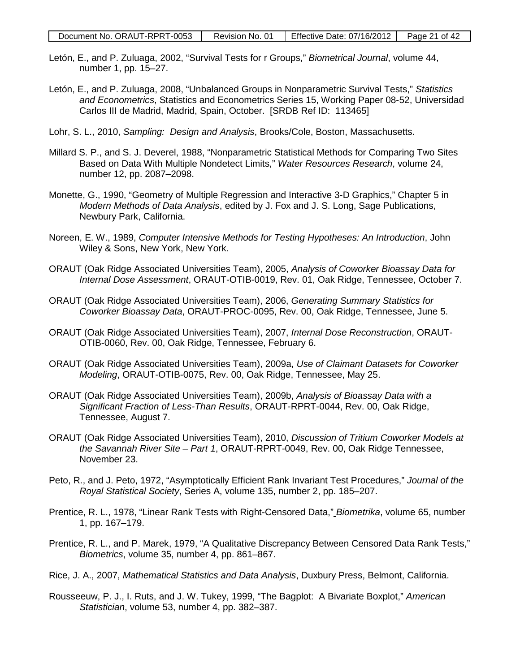- Letón, E., and P. Zuluaga, 2002, "Survival Tests for r Groups," *Biometrical Journal*, volume 44, number 1, pp. 15–27.
- Letón, E., and P. Zuluaga, 2008, "Unbalanced Groups in Nonparametric Survival Tests," *Statistics and Econometrics*, Statistics and Econometrics Series 15, Working Paper 08-52, Universidad Carlos III de Madrid, Madrid, Spain, October. [SRDB Ref ID: 113465]
- Lohr, S. L., 2010, *Sampling: Design and Analysis*, Brooks/Cole, Boston, Massachusetts.
- Millard S. P., and S. J. Deverel, 1988, "Nonparametric Statistical Methods for Comparing Two Sites Based on Data With Multiple Nondetect Limits," *Water Resources Research*, volume 24, number 12, pp. 2087–2098.
- Monette, G., 1990, "Geometry of Multiple Regression and Interactive 3-D Graphics," Chapter 5 in *Modern Methods of Data Analysis*, edited by J. Fox and J. S. Long, Sage Publications, Newbury Park, California.
- Noreen, E. W., 1989, *Computer Intensive Methods for Testing Hypotheses: An Introduction*, John Wiley & Sons, New York, New York.
- ORAUT (Oak Ridge Associated Universities Team), 2005, *Analysis of Coworker Bioassay Data for Internal Dose Assessment*, ORAUT-OTIB-0019, Rev. 01, Oak Ridge, Tennessee, October 7.
- ORAUT (Oak Ridge Associated Universities Team), 2006, *Generating Summary Statistics for Coworker Bioassay Data*, ORAUT-PROC-0095, Rev. 00, Oak Ridge, Tennessee, June 5.
- ORAUT (Oak Ridge Associated Universities Team), 2007, *Internal Dose Reconstruction*, ORAUT-OTIB-0060, Rev. 00, Oak Ridge, Tennessee, February 6.
- ORAUT (Oak Ridge Associated Universities Team), 2009a, *Use of Claimant Datasets for Coworker Modeling*, ORAUT-OTIB-0075, Rev. 00, Oak Ridge, Tennessee, May 25.
- ORAUT (Oak Ridge Associated Universities Team), 2009b, *Analysis of Bioassay Data with a Significant Fraction of Less-Than Results*, ORAUT-RPRT-0044, Rev. 00, Oak Ridge, Tennessee, August 7.
- ORAUT (Oak Ridge Associated Universities Team), 2010, *Discussion of Tritium Coworker Models at the Savannah River Site – Part 1*, ORAUT-RPRT-0049, Rev. 00, Oak Ridge Tennessee, November 23.
- Peto, R., and J. Peto, 1972, "Asymptotically Efficient Rank Invariant Test Procedures," *Journal of the Royal Statistical Society*, Series A, volume 135, number 2, pp. 185–207.
- Prentice, R. L., 1978, "Linear Rank Tests with Right-Censored Data," *Biometrika*, volume 65, number 1, pp. 167–179.
- Prentice, R. L., and P. Marek, 1979, "A Qualitative Discrepancy Between Censored Data Rank Tests," *Biometrics*, volume 35, number 4, pp. 861–867.
- Rice, J. A., 2007, *Mathematical Statistics and Data Analysis*, Duxbury Press, Belmont, California.
- Rousseeuw, P. J., I. Ruts, and J. W. Tukey, 1999, "The Bagplot: A Bivariate Boxplot," *American Statistician*, volume 53, number 4, pp. 382–387.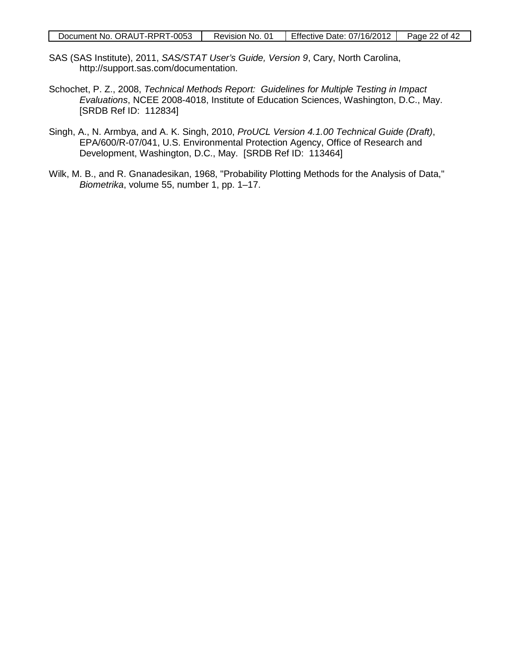- SAS (SAS Institute), 2011, *SAS/STAT User's Guide, Version 9*, Cary, North Carolina, http://support.sas.com/documentation.
- Schochet, P. Z., 2008, *Technical Methods Report: Guidelines for Multiple Testing in Impact Evaluations*, NCEE 2008-4018, Institute of Education Sciences, Washington, D.C., May. [SRDB Ref ID: 112834]
- Singh, A., N. Armbya, and A. K. Singh, 2010, *ProUCL Version 4.1.00 Technical Guide (Draft)*, EPA/600/R-07/041, U.S. Environmental Protection Agency, Office of Research and Development, Washington, D.C., May. [SRDB Ref ID: 113464]
- Wilk, M. B., and R. Gnanadesikan, 1968, "Probability Plotting Methods for the Analysis of Data," *Biometrika*, volume 55, number 1, pp. 1–17.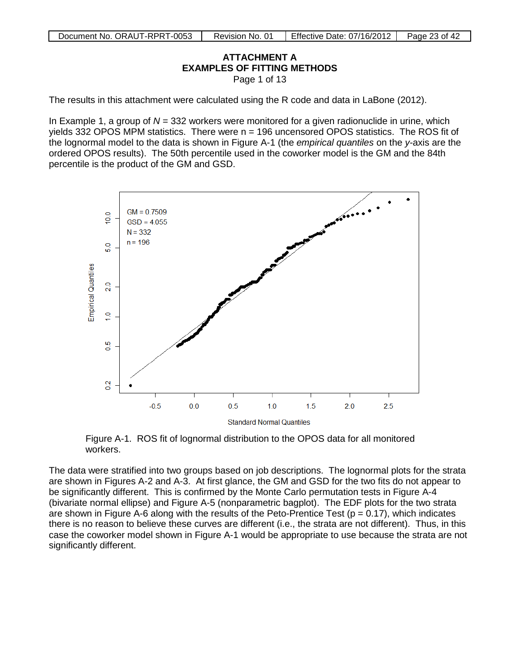#### **ATTACHMENT A EXAMPLES OF FITTING METHODS** Page 1 of 13

<span id="page-22-0"></span>The results in this attachment were calculated using the R code and data in LaBone (2012).

In Example 1, a group of *N* = 332 workers were monitored for a given radionuclide in urine, which yields 332 OPOS MPM statistics. There were  $n = 196$  uncensored OPOS statistics. The ROS fit of the lognormal model to the data is shown in Figure A-1 (the *empirical quantiles* on the *y-*axis are the ordered OPOS results). The 50th percentile used in the coworker model is the GM and the 84th percentile is the product of the GM and GSD.



Figure A-1. ROS fit of lognormal distribution to the OPOS data for all monitored workers.

The data were stratified into two groups based on job descriptions. The lognormal plots for the strata are shown in Figures A-2 and A-3. At first glance, the GM and GSD for the two fits do not appear to be significantly different. This is confirmed by the Monte Carlo permutation tests in Figure A-4 (bivariate normal ellipse) and Figure A-5 (nonparametric bagplot). The EDF plots for the two strata are shown in Figure A-6 along with the results of the Peto-Prentice Test ( $p = 0.17$ ), which indicates there is no reason to believe these curves are different (i.e., the strata are not different). Thus, in this case the coworker model shown in Figure A-1 would be appropriate to use because the strata are not significantly different.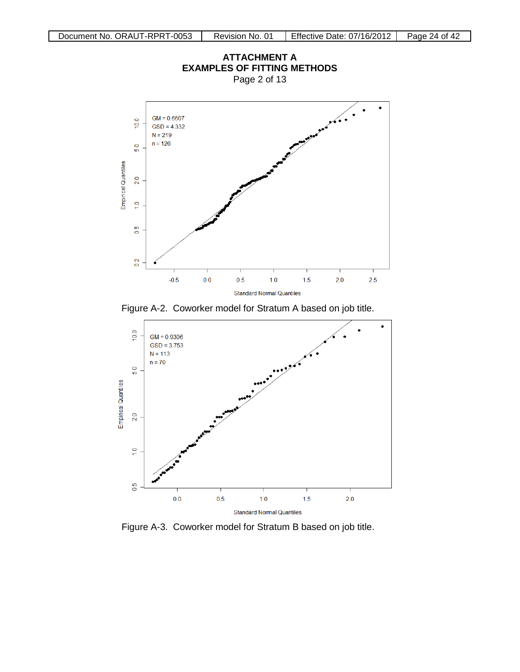

Figure A-2. Coworker model for Stratum A based on job title.



Figure A-3. Coworker model for Stratum B based on job title.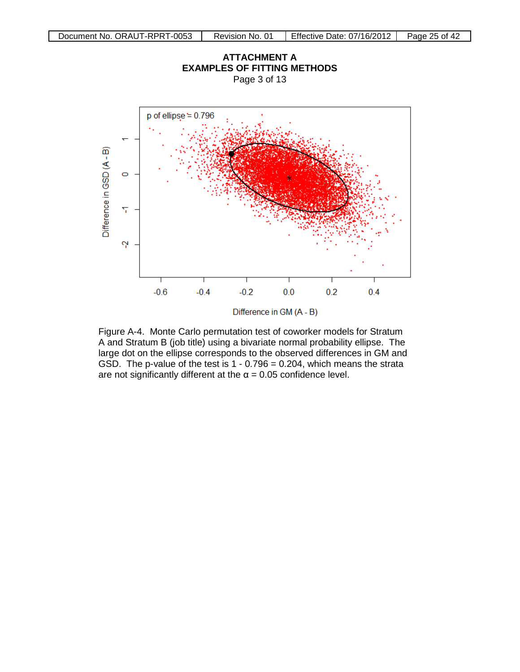

Figure A-4. Monte Carlo permutation test of coworker models for Stratum A and Stratum B (job title) using a bivariate normal probability ellipse. The large dot on the ellipse corresponds to the observed differences in GM and GSD. The p-value of the test is  $1 - 0.796 = 0.204$ , which means the strata are not significantly different at the  $\alpha$  = 0.05 confidence level.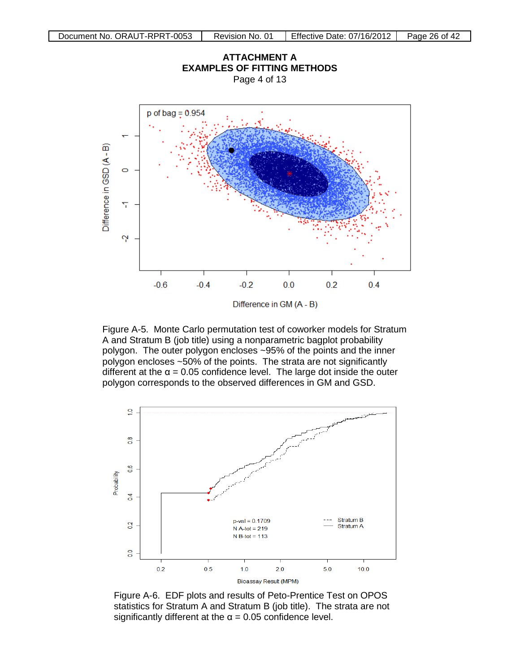

Figure A-5. Monte Carlo permutation test of coworker models for Stratum A and Stratum B (job title) using a nonparametric bagplot probability polygon. The outer polygon encloses ~95% of the points and the inner polygon encloses ~50% of the points. The strata are not significantly different at the  $\alpha$  = 0.05 confidence level. The large dot inside the outer polygon corresponds to the observed differences in GM and GSD.



Figure A-6. EDF plots and results of Peto-Prentice Test on OPOS statistics for Stratum A and Stratum B (job title). The strata are not significantly different at the  $\alpha$  = 0.05 confidence level.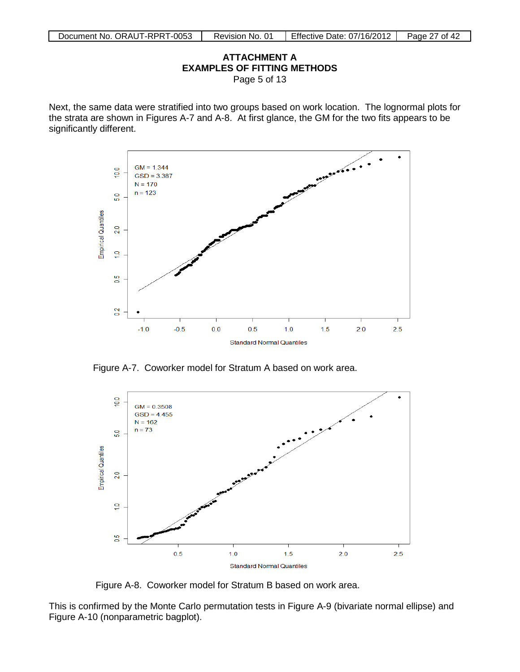#### **ATTACHMENT A EXAMPLES OF FITTING METHODS** Page 5 of 13

Next, the same data were stratified into two groups based on work location. The lognormal plots for the strata are shown in Figures A-7 and A-8. At first glance, the GM for the two fits appears to be significantly different.



Figure A-7. Coworker model for Stratum A based on work area.



Figure A-8. Coworker model for Stratum B based on work area.

This is confirmed by the Monte Carlo permutation tests in Figure A-9 (bivariate normal ellipse) and Figure A-10 (nonparametric bagplot).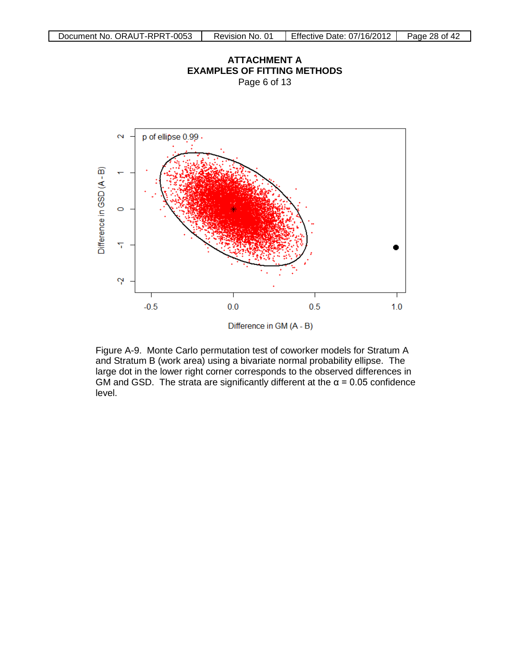

Page 6 of 13



 Figure A-9. Monte Carlo permutation test of coworker models for Stratum A and Stratum B (work area) using a bivariate normal probability ellipse. The large dot in the lower right corner corresponds to the observed differences in GM and GSD. The strata are significantly different at the  $\alpha$  = 0.05 confidence level.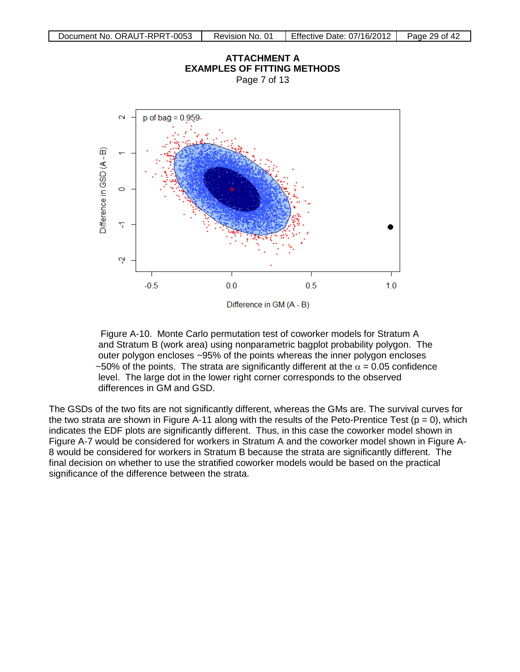

Figure A-10. Monte Carlo permutation test of coworker models for Stratum A and Stratum B (work area) using nonparametric bagplot probability polygon. The outer polygon encloses ~95% of the points whereas the inner polygon encloses ~50% of the points. The strata are significantly different at the  $\alpha$  = 0.05 confidence level. The large dot in the lower right corner corresponds to the observed differences in GM and GSD.

The GSDs of the two fits are not significantly different, whereas the GMs are. The survival curves for the two strata are shown in Figure A-11 along with the results of the Peto-Prentice Test ( $p = 0$ ), which indicates the EDF plots are significantly different. Thus, in this case the coworker model shown in Figure A-7 would be considered for workers in Stratum A and the coworker model shown in Figure A-8 would be considered for workers in Stratum B because the strata are significantly different. The final decision on whether to use the stratified coworker models would be based on the practical significance of the difference between the strata.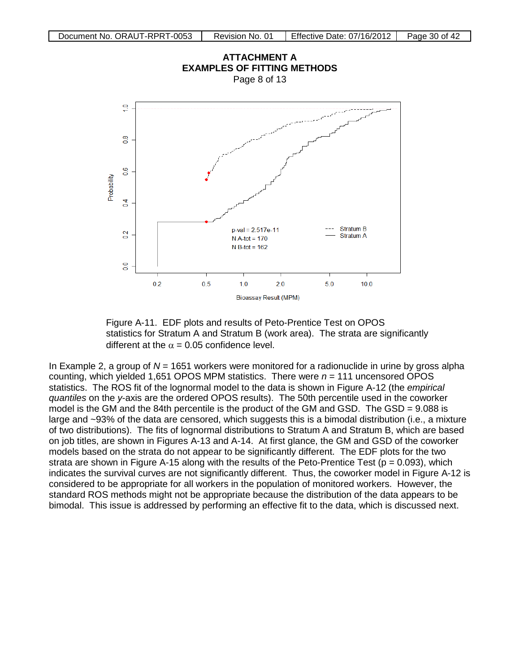

 Figure A-11. EDF plots and results of Peto-Prentice Test on OPOS statistics for Stratum A and Stratum B (work area). The strata are significantly different at the  $\alpha = 0.05$  confidence level.

In Example 2, a group of *N* = 1651 workers were monitored for a radionuclide in urine by gross alpha counting, which yielded 1,651 OPOS MPM statistics. There were  $n = 111$  uncensored OPOS statistics. The ROS fit of the lognormal model to the data is shown in Figure A-12 (the *empirical quantiles* on the *y*-axis are the ordered OPOS results). The 50th percentile used in the coworker model is the GM and the 84th percentile is the product of the GM and GSD. The GSD = 9.088 is large and ~93% of the data are censored, which suggests this is a bimodal distribution (i.e., a mixture of two distributions). The fits of lognormal distributions to Stratum A and Stratum B, which are based on job titles, are shown in Figures A-13 and A-14. At first glance, the GM and GSD of the coworker models based on the strata do not appear to be significantly different. The EDF plots for the two strata are shown in Figure A-15 along with the results of the Peto-Prentice Test ( $p = 0.093$ ), which indicates the survival curves are not significantly different. Thus, the coworker model in Figure A-12 is considered to be appropriate for all workers in the population of monitored workers. However, the standard ROS methods might not be appropriate because the distribution of the data appears to be bimodal. This issue is addressed by performing an effective fit to the data, which is discussed next.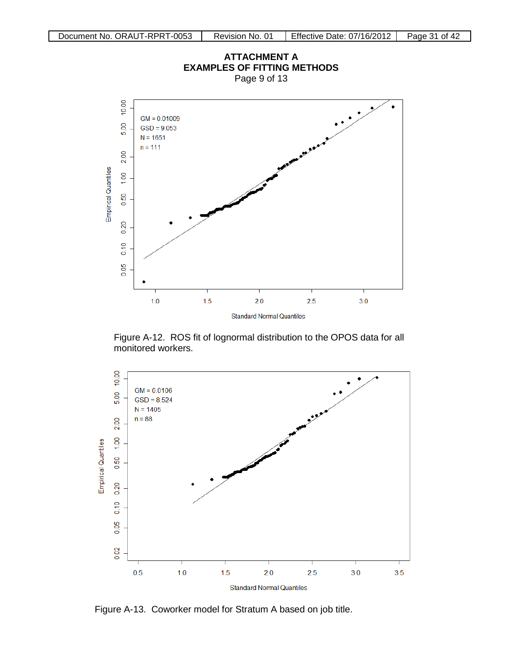

 Figure A-12. ROS fit of lognormal distribution to the OPOS data for all monitored workers.



Figure A-13. Coworker model for Stratum A based on job title.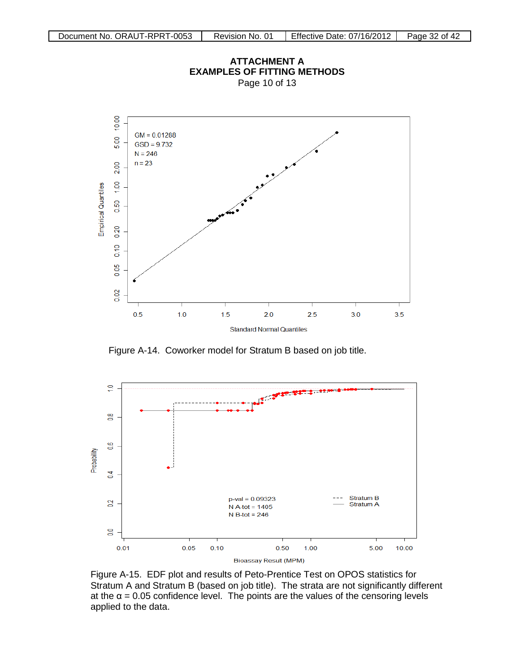

Figure A-14. Coworker model for Stratum B based on job title.



 Figure A-15. EDF plot and results of Peto-Prentice Test on OPOS statistics for Stratum A and Stratum B (based on job title). The strata are not significantly different at the  $\alpha$  = 0.05 confidence level. The points are the values of the censoring levels applied to the data.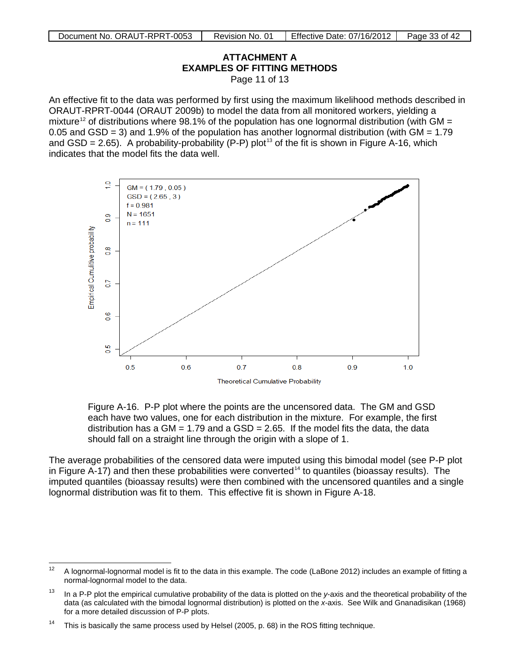# **ATTACHMENT A EXAMPLES OF FITTING METHODS**

Page 11 of 13

An effective fit to the data was performed by first using the maximum likelihood methods described in ORAUT-RPRT-0044 (ORAUT 2009b) to model the data from all monitored workers, yielding a mixture<sup>[12](#page-32-0)</sup> of distributions where 98.1% of the population has one lognormal distribution (with GM = 0.05 and GSD = 3) and 1.9% of the population has another lognormal distribution (with  $GM = 1.79$ and GSD = 2.65). A probability-probability (P-P) plot<sup>[13](#page-32-1)</sup> of the fit is shown in Figure A-16, which indicates that the model fits the data well.



 Figure A-16. P-P plot where the points are the uncensored data. The GM and GSD each have two values, one for each distribution in the mixture. For example, the first distribution has a GM = 1.79 and a GSD = 2.65. If the model fits the data, the data should fall on a straight line through the origin with a slope of 1.

The average probabilities of the censored data were imputed using this bimodal model (see P-P plot in Figure  $\overline{A}$ -17) and then these probabilities were converted<sup>[14](#page-32-2)</sup> to quantiles (bioassay results). The imputed quantiles (bioassay results) were then combined with the uncensored quantiles and a single lognormal distribution was fit to them. This effective fit is shown in Figure A-18.

<span id="page-32-0"></span> $12$  A lognormal-lognormal model is fit to the data in this example. The code (LaBone 2012) includes an example of fitting a normal-lognormal model to the data.

<span id="page-32-1"></span><sup>13</sup> In a P-P plot the empirical cumulative probability of the data is plotted on the *y*-axis and the theoretical probability of the data (as calculated with the bimodal lognormal distribution) is plotted on the *x-*axis. See Wilk and Gnanadisikan (1968) for a more detailed discussion of P-P plots.

<span id="page-32-2"></span><sup>&</sup>lt;sup>14</sup> This is basically the same process used by Helsel (2005, p. 68) in the ROS fitting technique.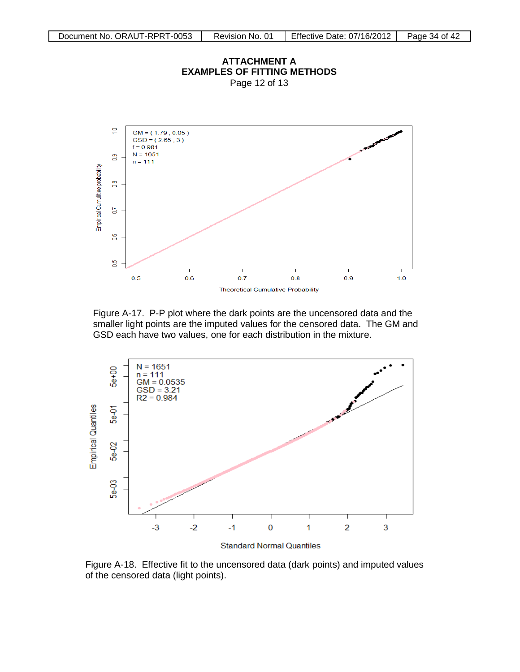

 Figure A-17. P-P plot where the dark points are the uncensored data and the smaller light points are the imputed values for the censored data. The GM and GSD each have two values, one for each distribution in the mixture.



**Standard Normal Quantiles** 

 Figure A-18. Effective fit to the uncensored data (dark points) and imputed values of the censored data (light points).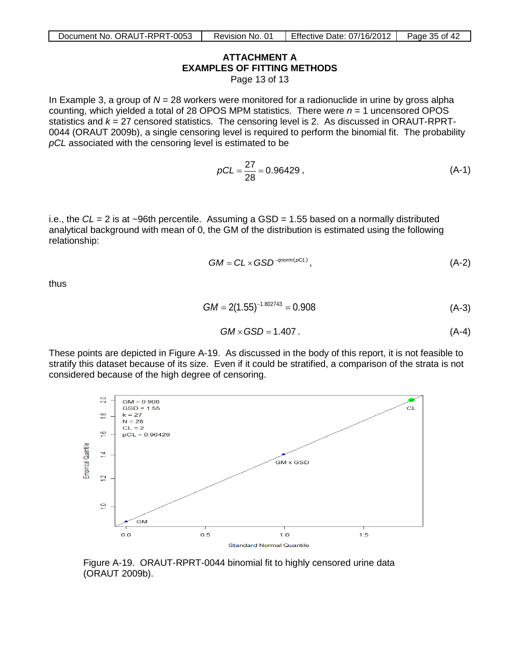# **ATTACHMENT A EXAMPLES OF FITTING METHODS**

Page 13 of 13

In Example 3, a group of *N* = 28 workers were monitored for a radionuclide in urine by gross alpha counting, which yielded a total of 28 OPOS MPM statistics. There were *n* = 1 uncensored OPOS statistics and *k* = 27 censored statistics. The censoring level is 2. As discussed in ORAUT-RPRT-0044 (ORAUT 2009b), a single censoring level is required to perform the binomial fit. The probability *pCL* associated with the censoring level is estimated to be

$$
pCL = \frac{27}{28} = 0.96429
$$
, (A-1)

i.e., the *CL* = 2 is at ~96th percentile. Assuming a GSD = 1.55 based on a normally distributed analytical background with mean of 0, the GM of the distribution is estimated using the following relationship:

$$
GM = CL \times GSD^{-qnorm(pCL)}, \qquad (A-2)
$$

thus

$$
GM = 2(1.55)^{-1.802743} = 0.908
$$
 (A-3)

$$
GM \times GSD = 1.407 \tag{A-4}
$$

These points are depicted in Figure A-19. As discussed in the body of this report, it is not feasible to stratify this dataset because of its size. Even if it could be stratified, a comparison of the strata is not considered because of the high degree of censoring.



Figure A-19. ORAUT-RPRT-0044 binomial fit to highly censored urine data (ORAUT 2009b).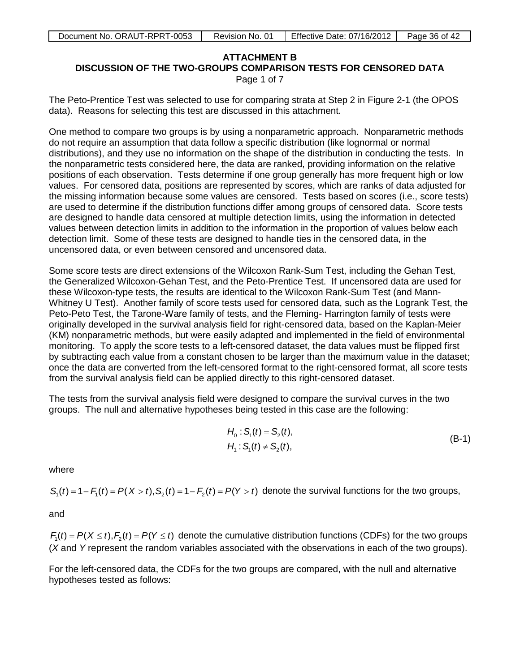### **ATTACHMENT B DISCUSSION OF THE TWO-GROUPS COMPARISON TESTS FOR CENSORED DATA**

<span id="page-35-0"></span>Page 1 of 7

The Peto-Prentice Test was selected to use for comparing strata at Step 2 in Figure 2-1 (the OPOS data). Reasons for selecting this test are discussed in this attachment.

One method to compare two groups is by using a nonparametric approach. Nonparametric methods do not require an assumption that data follow a specific distribution (like lognormal or normal distributions), and they use no information on the shape of the distribution in conducting the tests. In the nonparametric tests considered here, the data are ranked, providing information on the relative positions of each observation. Tests determine if one group generally has more frequent high or low values. For censored data, positions are represented by scores, which are ranks of data adjusted for the missing information because some values are censored. Tests based on scores (i.e., score tests) are used to determine if the distribution functions differ among groups of censored data. Score tests are designed to handle data censored at multiple detection limits, using the information in detected values between detection limits in addition to the information in the proportion of values below each detection limit. Some of these tests are designed to handle ties in the censored data, in the uncensored data, or even between censored and uncensored data.

Some score tests are direct extensions of the Wilcoxon Rank-Sum Test, including the Gehan Test, the Generalized Wilcoxon-Gehan Test, and the Peto-Prentice Test. If uncensored data are used for these Wilcoxon-type tests, the results are identical to the Wilcoxon Rank-Sum Test (and Mann-Whitney U Test). Another family of score tests used for censored data, such as the Logrank Test, the Peto-Peto Test, the Tarone-Ware family of tests, and the Fleming- Harrington family of tests were originally developed in the survival analysis field for right-censored data, based on the Kaplan-Meier (KM) nonparametric methods, but were easily adapted and implemented in the field of environmental monitoring. To apply the score tests to a left-censored dataset, the data values must be flipped first by subtracting each value from a constant chosen to be larger than the maximum value in the dataset; once the data are converted from the left-censored format to the right-censored format, all score tests from the survival analysis field can be applied directly to this right-censored dataset.

The tests from the survival analysis field were designed to compare the survival curves in the two groups. The null and alternative hypotheses being tested in this case are the following:

$$
H_0: S_1(t) = S_2(t), H_1: S_1(t) \neq S_2(t),
$$
 (B-1)

where

 $S_1(t) = 1 - F_1(t) = P(X > t), S_2(t) = 1 - F_2(t) = P(Y > t)$  denote the survival functions for the two groups,

and

 $F_t(t) = P(X \le t), F_s(t) = P(Y \le t)$  denote the cumulative distribution functions (CDFs) for the two groups (*X* and *Y* represent the random variables associated with the observations in each of the two groups).

For the left-censored data, the CDFs for the two groups are compared, with the null and alternative hypotheses tested as follows: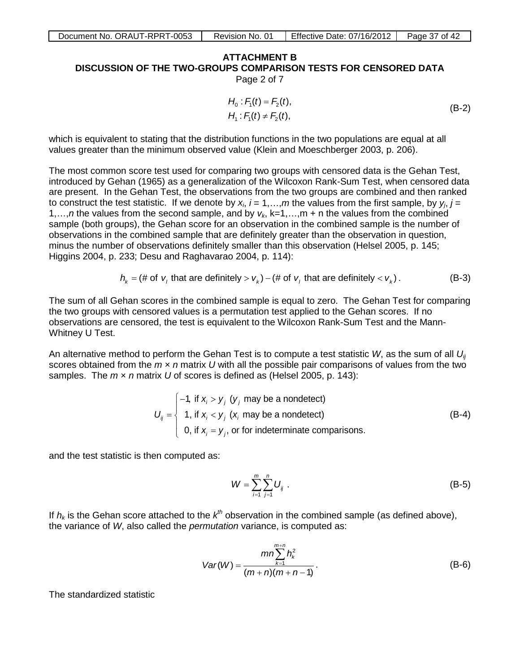# **ATTACHMENT A B DISCUSSION OF THE TWO-GROUPS COMPARISON TESTS FOR CENSORED DATA**

Page 2 of 7

$$
H_0: F_1(t) = F_2(t), H_1: F_1(t) \neq F_2(t),
$$
 (B-2)

which is equivalent to stating that the distribution functions in the two populations are equal at all values greater than the minimum observed value (Klein and Moeschberger 2003, p. 206).

The most common score test used for comparing two groups with censored data is the Gehan Test, introduced by Gehan (1965) as a generalization of the Wilcoxon Rank-Sum Test, when censored data are present. In the Gehan Test, the observations from the two groups are combined and then ranked to construct the test statistic. If we denote by  $x_i$ ,  $i = 1,...,m$  the values from the first sample, by  $y_j$ ,  $j = 1, ..., m$ 1,...,*n* the values from the second sample, and by  $v_k$ , k=1,...,m + n the values from the combined sample (both groups), the Gehan score for an observation in the combined sample is the number of observations in the combined sample that are definitely greater than the observation in question, minus the number of observations definitely smaller than this observation (Helsel 2005, p. 145; Higgins 2004, p. 233; Desu and Raghavarao 2004, p. 114):

$$
h_k = (\# \text{ of } v_i \text{ that are definitely} > v_k) - (\# \text{ of } v_i \text{ that are definitely} < v_k).
$$
 (B-3)

The sum of all Gehan scores in the combined sample is equal to zero. The Gehan Test for comparing the two groups with censored values is a permutation test applied to the Gehan scores. If no observations are censored, the test is equivalent to the Wilcoxon Rank-Sum Test and the Mann-Whitney U Test.

An alternative method to perform the Gehan Test is to compute a test statistic *W*, as the sum of all *Uij* scores obtained from the *m* × *n* matrix *U* with all the possible pair comparisons of values from the two samples. The *m* × *n* matrix *U* of scores is defined as (Helsel 2005, p. 143):

$$
U_{ij} = \begin{cases}\n-1, & \text{if } x_i > y_j \ (y_j \text{ may be a nondetect}) \\
1, & \text{if } x_i < y_j \ (x_i \text{ may be a nondetect}) \\
0, & \text{if } x_i = y_j, \text{ or for indeterminate comparisons.} \n\end{cases}
$$
\n(B-4)

and the test statistic is then computed as:

$$
W = \sum_{i=1}^{m} \sum_{j=1}^{n} U_{ij} \; . \tag{B-5}
$$

If  $h_k$  is the Gehan score attached to the  $k^{th}$  observation in the combined sample (as defined above), the variance of *W*, also called the *permutation* variance, is computed as:

$$
Var(W) = \frac{mn \sum_{k=1}^{m+n} h_k^2}{(m+n)(m+n-1)}.
$$
 (B-6)

The standardized statistic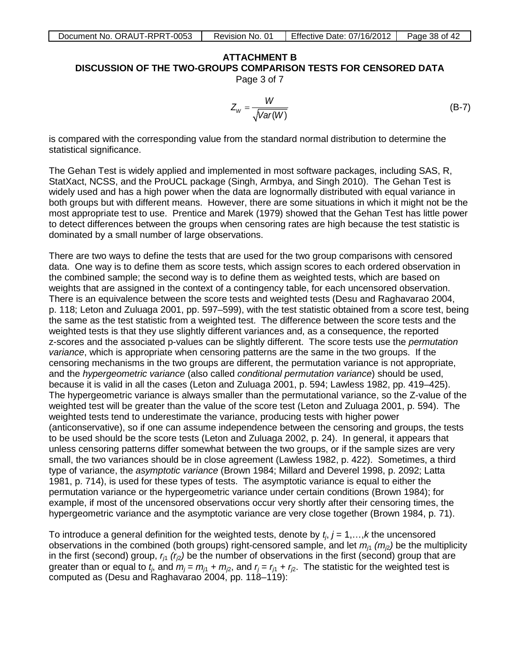# **ATTACHMENT B DISCUSSION OF THE TWO-GROUPS COMPARISON TESTS FOR CENSORED DATA**

Page 3 of 7

$$
Z_{W} = \frac{W}{\sqrt{Var(W)}}\tag{B-7}
$$

is compared with the corresponding value from the standard normal distribution to determine the statistical significance.

The Gehan Test is widely applied and implemented in most software packages, including SAS, R, StatXact, NCSS, and the ProUCL package (Singh, Armbya, and Singh 2010). The Gehan Test is widely used and has a high power when the data are lognormally distributed with equal variance in both groups but with different means. However, there are some situations in which it might not be the most appropriate test to use. Prentice and Marek (1979) showed that the Gehan Test has little power to detect differences between the groups when censoring rates are high because the test statistic is dominated by a small number of large observations.

There are two ways to define the tests that are used for the two group comparisons with censored data. One way is to define them as score tests, which assign scores to each ordered observation in the combined sample; the second way is to define them as weighted tests, which are based on weights that are assigned in the context of a contingency table, for each uncensored observation. There is an equivalence between the score tests and weighted tests (Desu and Raghavarao 2004, p. 118; Leton and Zuluaga 2001, pp. 597–599), with the test statistic obtained from a score test, being the same as the test statistic from a weighted test. The difference between the score tests and the weighted tests is that they use slightly different variances and, as a consequence, the reported z-scores and the associated p-values can be slightly different. The score tests use the *permutation variance*, which is appropriate when censoring patterns are the same in the two groups. If the censoring mechanisms in the two groups are different, the permutation variance is not appropriate, and the *hypergeometric variance* (also called *conditional permutation variance*) should be used, because it is valid in all the cases (Leton and Zuluaga 2001, p. 594; Lawless 1982, pp. 419–425). The hypergeometric variance is always smaller than the permutational variance, so the Z-value of the weighted test will be greater than the value of the score test (Leton and Zuluaga 2001, p. 594). The weighted tests tend to underestimate the variance, producing tests with higher power (anticonservative), so if one can assume independence between the censoring and groups, the tests to be used should be the score tests (Leton and Zuluaga 2002, p. 24). In general, it appears that unless censoring patterns differ somewhat between the two groups, or if the sample sizes are very small, the two variances should be in close agreement (Lawless 1982, p. 422). Sometimes, a third type of variance, the *asymptotic variance* (Brown 1984; Millard and Deverel 1998, p. 2092; Latta 1981, p. 714), is used for these types of tests. The asymptotic variance is equal to either the permutation variance or the hypergeometric variance under certain conditions (Brown 1984); for example, if most of the uncensored observations occur very shortly after their censoring times, the hypergeometric variance and the asymptotic variance are very close together (Brown 1984, p. 71).

To introduce a general definition for the weighted tests, denote by  $t_i$ ,  $j = 1, \ldots, k$  the uncensored observations in the combined (both groups) right-censored sample, and let  $m_{11}$   $(m_{2})$  be the multiplicity in the first (second) group,  $r_{i1}$   $(r_{i2})$  be the number of observations in the first (second) group that are greater than or equal to  $t_j$ , and  $m_j = m_{j1} + m_{j2}$ , and  $r_j = r_{j1} + r_{j2}$ . The statistic for the weighted test is computed as (Desu and Raghavarao 2004, pp. 118–119):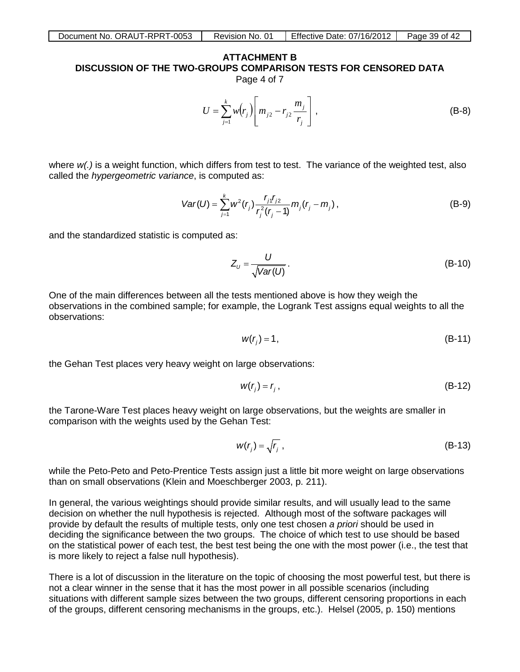# **ATTACHMENT B DISCUSSION OF THE TWO-GROUPS COMPARISON TESTS FOR CENSORED DATA**

Page 4 of 7

$$
U = \sum_{j=1}^{k} w(r_j) \left[ m_{j2} - r_{j2} \frac{m_j}{r_j} \right],
$$
 (B-8)

where  $w(t)$  is a weight function, which differs from test to test. The variance of the weighted test, also called the *hypergeometric variance*, is computed as:

$$
Var(U) = \sum_{j=1}^{k} w^2(r_j) \frac{r_{j1}r_{j2}}{r_j^2(r_j - 1)} m_j(r_j - m_j),
$$
 (B-9)

and the standardized statistic is computed as:

$$
Z_{U} = \frac{U}{\sqrt{Var(U)}}.
$$
 (B-10)

One of the main differences between all the tests mentioned above is how they weigh the observations in the combined sample; for example, the Logrank Test assigns equal weights to all the observations:

$$
w(r_j) = 1, \tag{B-11}
$$

the Gehan Test places very heavy weight on large observations:

$$
w(r_j) = r_j, \tag{B-12}
$$

the Tarone-Ware Test places heavy weight on large observations, but the weights are smaller in comparison with the weights used by the Gehan Test:

$$
w(r_j) = \sqrt{r_j} \tag{B-13}
$$

while the Peto-Peto and Peto-Prentice Tests assign just a little bit more weight on large observations than on small observations (Klein and Moeschberger 2003, p. 211).

In general, the various weightings should provide similar results, and will usually lead to the same decision on whether the null hypothesis is rejected. Although most of the software packages will provide by default the results of multiple tests, only one test chosen *a priori* should be used in deciding the significance between the two groups. The choice of which test to use should be based on the statistical power of each test, the best test being the one with the most power (i.e., the test that is more likely to reject a false null hypothesis).

There is a lot of discussion in the literature on the topic of choosing the most powerful test, but there is not a clear winner in the sense that it has the most power in all possible scenarios (including situations with different sample sizes between the two groups, different censoring proportions in each of the groups, different censoring mechanisms in the groups, etc.). Helsel (2005, p. 150) mentions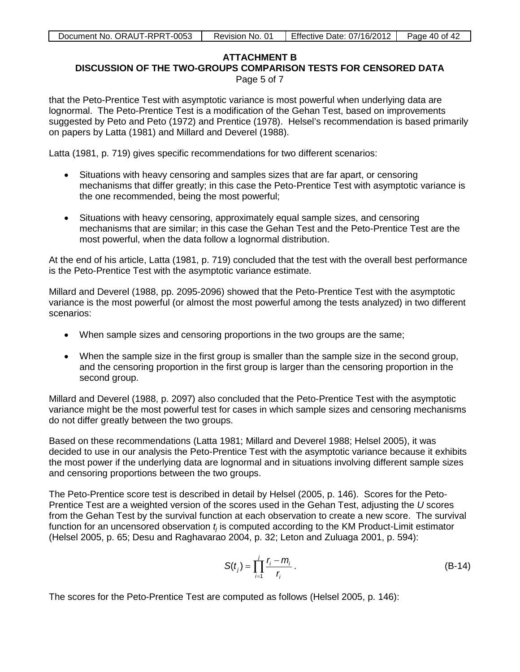# **ATTACHMENT B**

**DISCUSSION OF THE TWO-GROUPS COMPARISON TESTS FOR CENSORED DATA**

Page 5 of 7

that the Peto-Prentice Test with asymptotic variance is most powerful when underlying data are lognormal. The Peto-Prentice Test is a modification of the Gehan Test, based on improvements suggested by Peto and Peto (1972) and Prentice (1978). Helsel's recommendation is based primarily on papers by Latta (1981) and Millard and Deverel (1988).

Latta (1981, p. 719) gives specific recommendations for two different scenarios:

- Situations with heavy censoring and samples sizes that are far apart, or censoring mechanisms that differ greatly; in this case the Peto-Prentice Test with asymptotic variance is the one recommended, being the most powerful;
- Situations with heavy censoring, approximately equal sample sizes, and censoring mechanisms that are similar; in this case the Gehan Test and the Peto-Prentice Test are the most powerful, when the data follow a lognormal distribution.

At the end of his article, Latta (1981, p. 719) concluded that the test with the overall best performance is the Peto-Prentice Test with the asymptotic variance estimate.

Millard and Deverel (1988, pp. 2095-2096) showed that the Peto-Prentice Test with the asymptotic variance is the most powerful (or almost the most powerful among the tests analyzed) in two different scenarios:

- When sample sizes and censoring proportions in the two groups are the same;
- When the sample size in the first group is smaller than the sample size in the second group, and the censoring proportion in the first group is larger than the censoring proportion in the second group.

Millard and Deverel (1988, p. 2097) also concluded that the Peto-Prentice Test with the asymptotic variance might be the most powerful test for cases in which sample sizes and censoring mechanisms do not differ greatly between the two groups.

Based on these recommendations (Latta 1981; Millard and Deverel 1988; Helsel 2005), it was decided to use in our analysis the Peto-Prentice Test with the asymptotic variance because it exhibits the most power if the underlying data are lognormal and in situations involving different sample sizes and censoring proportions between the two groups.

The Peto-Prentice score test is described in detail by Helsel (2005, p. 146). Scores for the Peto-Prentice Test are a weighted version of the scores used in the Gehan Test, adjusting the *U* scores from the Gehan Test by the survival function at each observation to create a new score. The survival function for an uncensored observation  $t_i$  is computed according to the KM Product-Limit estimator (Helsel 2005, p. 65; Desu and Raghavarao 2004, p. 32; Leton and Zuluaga 2001, p. 594):

$$
S(t_j) = \prod_{i=1}^{j} \frac{r_i - m_i}{r_i} \,. \tag{B-14}
$$

The scores for the Peto-Prentice Test are computed as follows (Helsel 2005, p. 146):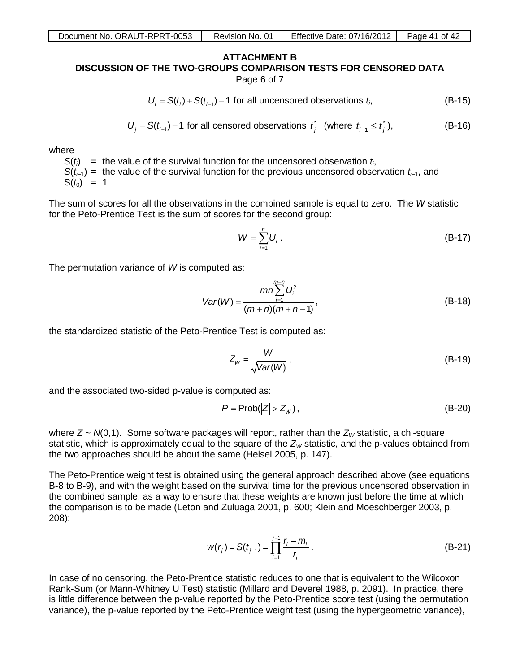#### **ATTACHMENT B DISCUSSION OF THE TWO-GROUPS COMPARISON TESTS FOR CENSORED DATA** Page 6 of 7

$$
\mathcal{L} = \mathcal{L} \left( \mathcal{L} \right) \left( \mathcal{L} \right) \left( \mathcal{L} \right) \left( \mathcal{L} \right) \left( \mathcal{L} \right) \left( \mathcal{L} \right) \left( \mathcal{L} \right) \left( \mathcal{L} \right) \left( \mathcal{L} \right) \left( \mathcal{L} \right) \left( \mathcal{L} \right) \left( \mathcal{L} \right) \left( \mathcal{L} \right) \left( \mathcal{L} \right) \left( \mathcal{L} \right) \left( \mathcal{L} \right) \left( \mathcal{L} \right) \left( \mathcal{L} \right) \left( \mathcal{L} \right) \left( \mathcal{L} \right) \left( \mathcal{L} \right) \left( \mathcal{L} \right) \left( \mathcal{L} \right) \left( \mathcal{L} \right) \left( \mathcal{L} \right) \left( \mathcal{L} \right) \left( \mathcal{L} \right) \left( \mathcal{L} \right) \left( \mathcal{L} \right) \left( \mathcal{L} \right) \left( \mathcal{L} \right) \left( \mathcal{L} \right) \left( \mathcal{L} \right) \left( \mathcal{L} \right) \left( \mathcal{L} \right) \left( \mathcal{L} \right) \left( \mathcal{L} \right) \left( \mathcal{L} \right) \left( \mathcal{L} \right) \left( \mathcal{L} \right) \left( \mathcal{L} \right) \left( \mathcal{L} \right) \left( \mathcal{L} \right) \left( \mathcal{L} \right) \left( \mathcal{L} \right) \left( \mathcal{L} \right) \left( \mathcal{L} \right) \left( \mathcal{L} \right) \left( \mathcal{L} \right) \left( \mathcal{L} \right) \left( \mathcal{L} \right) \left( \mathcal{L} \right) \left( \mathcal{L} \right) \left( \mathcal{L} \right) \left( \mathcal{L} \right) \left( \mathcal{L} \right) \left( \mathcal{L} \right) \left( \mathcal{L} \right) \left( \mathcal{L} \right) \left( \mathcal{L} \right) \left( \mathcal{L} \right) \left( \mathcal{L} \right) \left(
$$

$$
U_i = S(t_i) + S(t_{i-1}) - 1
$$
 for all unconsorted observations  $t_i$ , (B-15)

$$
U_j = S(t_{j-1}) - 1
$$
 for all censored observations  $t_j^*$  (where  $t_{j-1} \leq t_j^*$ ), (B-16)

where

 $S(t_i)$  = the value of the survival function for the uncensored observation  $t_i$ ,  $S(t_{i-1})$  = the value of the survival function for the previous uncensored observation  $t_{i-1}$ , and  $S(t_0) = 1$ 

The sum of scores for all the observations in the combined sample is equal to zero. The *W* statistic for the Peto-Prentice Test is the sum of scores for the second group:

$$
W = \sum_{i=1}^{n} U_i \,. \tag{B-17}
$$

The permutation variance of *W* is computed as:

$$
Var(W) = \frac{mn \sum_{i=1}^{m+n} U_i^2}{(m+n)(m+n-1)},
$$
 (B-18)

the standardized statistic of the Peto-Prentice Test is computed as:

$$
Z_W = \frac{W}{\sqrt{Var(W)}},
$$
 (B-19)

and the associated two-sided p-value is computed as:

$$
P = \text{Prob}(|Z| > Z_w),\tag{B-20}
$$

where  $Z \sim N(0,1)$ . Some software packages will report, rather than the  $Z_W$  statistic, a chi-square statistic, which is approximately equal to the square of the  $Z_W$  statistic, and the p-values obtained from the two approaches should be about the same (Helsel 2005, p. 147).

The Peto-Prentice weight test is obtained using the general approach described above (see equations B-8 to B-9), and with the weight based on the survival time for the previous uncensored observation in the combined sample, as a way to ensure that these weights are known just before the time at which the comparison is to be made (Leton and Zuluaga 2001, p. 600; Klein and Moeschberger 2003, p. 208):

$$
w(r_j) = S(t_{j-1}) = \prod_{i=1}^{j-1} \frac{r_i - m_i}{r_i} \,.
$$
 (B-21)

In case of no censoring, the Peto-Prentice statistic reduces to one that is equivalent to the Wilcoxon Rank-Sum (or Mann-Whitney U Test) statistic (Millard and Deverel 1988, p. 2091). In practice, there is little difference between the p-value reported by the Peto-Prentice score test (using the permutation variance), the p-value reported by the Peto-Prentice weight test (using the hypergeometric variance),